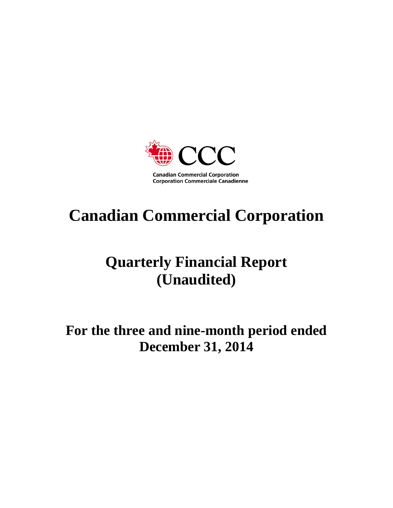

# **Canadian Commercial Corporation**

# **Quarterly Financial Report (Unaudited)**

**For the three and nine-month period ended December 31, 2014**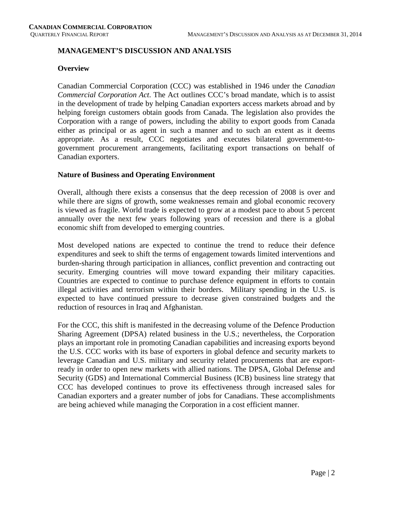# **MANAGEMENT'S DISCUSSION AND ANALYSIS**

#### **Overview**

Canadian Commercial Corporation (CCC) was established in 1946 under the *Canadian Commercial Corporation Act*. The Act outlines CCC's broad mandate, which is to assist in the development of trade by helping Canadian exporters access markets abroad and by helping foreign customers obtain goods from Canada. The legislation also provides the Corporation with a range of powers, including the ability to export goods from Canada either as principal or as agent in such a manner and to such an extent as it deems appropriate. As a result, CCC negotiates and executes bilateral government-togovernment procurement arrangements, facilitating export transactions on behalf of Canadian exporters.

#### **Nature of Business and Operating Environment**

Overall, although there exists a consensus that the deep recession of 2008 is over and while there are signs of growth, some weaknesses remain and global economic recovery is viewed as fragile. World trade is expected to grow at a modest pace to about 5 percent annually over the next few years following years of recession and there is a global economic shift from developed to emerging countries.

Most developed nations are expected to continue the trend to reduce their defence expenditures and seek to shift the terms of engagement towards limited interventions and burden-sharing through participation in alliances, conflict prevention and contracting out security. Emerging countries will move toward expanding their military capacities. Countries are expected to continue to purchase defence equipment in efforts to contain illegal activities and terrorism within their borders. Military spending in the U.S. is expected to have continued pressure to decrease given constrained budgets and the reduction of resources in Iraq and Afghanistan.

For the CCC, this shift is manifested in the decreasing volume of the Defence Production Sharing Agreement (DPSA) related business in the U.S.; nevertheless, the Corporation plays an important role in promoting Canadian capabilities and increasing exports beyond the U.S. CCC works with its base of exporters in global defence and security markets to leverage Canadian and U.S. military and security related procurements that are exportready in order to open new markets with allied nations. The DPSA, Global Defense and Security (GDS) and International Commercial Business (ICB) business line strategy that CCC has developed continues to prove its effectiveness through increased sales for Canadian exporters and a greater number of jobs for Canadians. These accomplishments are being achieved while managing the Corporation in a cost efficient manner.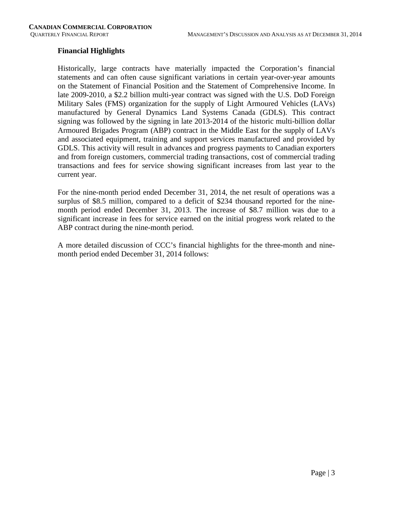#### **Financial Highlights**

Historically, large contracts have materially impacted the Corporation's financial statements and can often cause significant variations in certain year-over-year amounts on the Statement of Financial Position and the Statement of Comprehensive Income. In late 2009-2010, a \$2.2 billion multi-year contract was signed with the U.S. DoD Foreign Military Sales (FMS) organization for the supply of Light Armoured Vehicles (LAVs) manufactured by General Dynamics Land Systems Canada (GDLS). This contract signing was followed by the signing in late 2013-2014 of the historic multi-billion dollar Armoured Brigades Program (ABP) contract in the Middle East for the supply of LAVs and associated equipment, training and support services manufactured and provided by GDLS. This activity will result in advances and progress payments to Canadian exporters and from foreign customers, commercial trading transactions, cost of commercial trading transactions and fees for service showing significant increases from last year to the current year.

For the nine-month period ended December 31, 2014, the net result of operations was a surplus of \$8.5 million, compared to a deficit of \$234 thousand reported for the ninemonth period ended December 31, 2013. The increase of \$8.7 million was due to a significant increase in fees for service earned on the initial progress work related to the ABP contract during the nine-month period.

A more detailed discussion of CCC's financial highlights for the three-month and ninemonth period ended December 31, 2014 follows: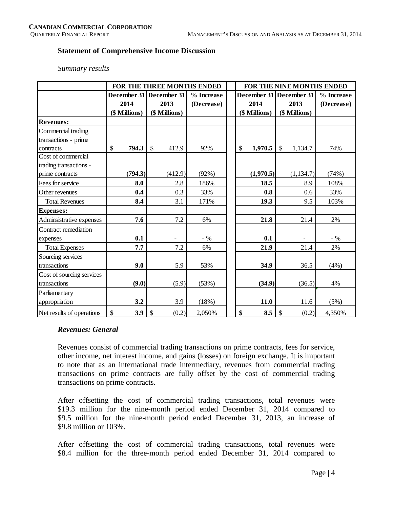#### **Statement of Comprehensive Income Discussion**

#### *Summary results*

|                           |               | FOR THE THREE MONTHS ENDED |            |  |    |               | FOR THE NINE MONTHS ENDED |            |  |  |  |  |  |  |
|---------------------------|---------------|----------------------------|------------|--|----|---------------|---------------------------|------------|--|--|--|--|--|--|
|                           |               | December 31 December 31    | % Increase |  |    |               | December 31 December 31   | % Increase |  |  |  |  |  |  |
|                           | 2014          | 2013                       | (Decrease) |  |    | 2014          | 2013                      | (Decrease) |  |  |  |  |  |  |
|                           | (\$ Millions) | (\$ Millions)              |            |  |    | (\$ Millions) | (\$ Millions)             |            |  |  |  |  |  |  |
| <b>Revenues:</b>          |               |                            |            |  |    |               |                           |            |  |  |  |  |  |  |
| Commercial trading        |               |                            |            |  |    |               |                           |            |  |  |  |  |  |  |
| transactions - prime      |               |                            |            |  |    |               |                           |            |  |  |  |  |  |  |
| contracts                 | \$<br>794.3   | \$<br>412.9                | 92%        |  | \$ | 1,970.5       | $\sqrt$<br>1,134.7        | 74%        |  |  |  |  |  |  |
| Cost of commercial        |               |                            |            |  |    |               |                           |            |  |  |  |  |  |  |
| trading transactions -    |               |                            |            |  |    |               |                           |            |  |  |  |  |  |  |
| prime contracts           | (794.3)       | (412.9)                    | (92%)      |  |    | (1,970.5)     | (1, 134.7)                | (74%)      |  |  |  |  |  |  |
| Fees for service          | 8.0           | 2.8                        | 186%       |  |    | 18.5          | 8.9                       | 108%       |  |  |  |  |  |  |
| Other revenues            | 0.4           | 0.3                        | 33%        |  |    | 0.8           | 0.6                       | 33%        |  |  |  |  |  |  |
| <b>Total Revenues</b>     | 8.4           | 3.1                        | 171%       |  |    | 19.3          | 9.5                       | 103%       |  |  |  |  |  |  |
| <b>Expenses:</b>          |               |                            |            |  |    |               |                           |            |  |  |  |  |  |  |
| Adminsistrative expenses  | 7.6           | $7.2\,$                    | 6%         |  |    | 21.8          | 21.4                      | 2%         |  |  |  |  |  |  |
| Contract remediation      |               |                            |            |  |    |               |                           |            |  |  |  |  |  |  |
| expenses                  | 0.1           |                            | $-$ %      |  |    | 0.1           |                           | $-9/6$     |  |  |  |  |  |  |
| <b>Total Expenses</b>     | 7.7           | 7.2                        | 6%         |  |    | 21.9          | 21.4                      | 2%         |  |  |  |  |  |  |
| Sourcing services         |               |                            |            |  |    |               |                           |            |  |  |  |  |  |  |
| transactions              | 9.0           | 5.9                        | 53%        |  |    | 34.9          | 36.5                      | (4%)       |  |  |  |  |  |  |
| Cost of sourcing services |               |                            |            |  |    |               |                           |            |  |  |  |  |  |  |
| transactions              | (9.0)         | (5.9)                      | (53%)      |  |    | (34.9)        | (36.5)                    | 4%         |  |  |  |  |  |  |
| Parliamentary             |               |                            |            |  |    |               |                           |            |  |  |  |  |  |  |
| appropriation             | 3.2           | 3.9                        | (18%)      |  |    | 11.0          | 11.6                      | (5%)       |  |  |  |  |  |  |
| Net results of operations | \$<br>3.9     | \$<br>(0.2)                | 2,050%     |  | \$ | 8.5           | \$<br>(0.2)               | 4,350%     |  |  |  |  |  |  |

#### *Revenues: General*

Revenues consist of commercial trading transactions on prime contracts, fees for service, other income, net interest income, and gains (losses) on foreign exchange. It is important to note that as an international trade intermediary, revenues from commercial trading transactions on prime contracts are fully offset by the cost of commercial trading transactions on prime contracts.

After offsetting the cost of commercial trading transactions, total revenues were \$19.3 million for the nine-month period ended December 31, 2014 compared to \$9.5 million for the nine-month period ended December 31, 2013, an increase of \$9.8 million or 103%.

After offsetting the cost of commercial trading transactions, total revenues were \$8.4 million for the three-month period ended December 31, 2014 compared to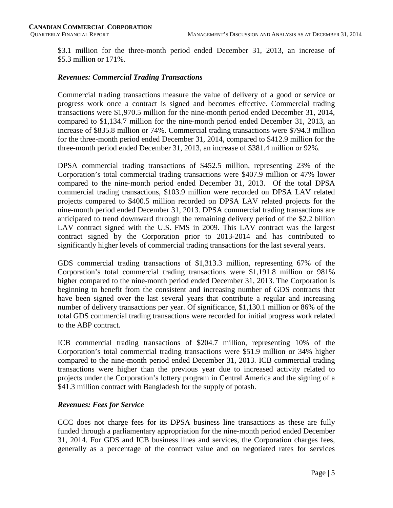\$3.1 million for the three-month period ended December 31, 2013, an increase of \$5.3 million or 171%.

#### *Revenues: Commercial Trading Transactions*

Commercial trading transactions measure the value of delivery of a good or service or progress work once a contract is signed and becomes effective. Commercial trading transactions were \$1,970.5 million for the nine-month period ended December 31, 2014, compared to \$1,134.7 million for the nine-month period ended December 31, 2013, an increase of \$835.8 million or 74%. Commercial trading transactions were \$794.3 million for the three-month period ended December 31, 2014, compared to \$412.9 million for the three-month period ended December 31, 2013, an increase of \$381.4 million or 92%.

DPSA commercial trading transactions of \$452.5 million, representing 23% of the Corporation's total commercial trading transactions were \$407.9 million or 47% lower compared to the nine-month period ended December 31, 2013. Of the total DPSA commercial trading transactions, \$103.9 million were recorded on DPSA LAV related projects compared to \$400.5 million recorded on DPSA LAV related projects for the nine-month period ended December 31, 2013. DPSA commercial trading transactions are anticipated to trend downward through the remaining delivery period of the \$2.2 billion LAV contract signed with the U.S. FMS in 2009. This LAV contract was the largest contract signed by the Corporation prior to 2013-2014 and has contributed to significantly higher levels of commercial trading transactions for the last several years.

GDS commercial trading transactions of \$1,313.3 million, representing 67% of the Corporation's total commercial trading transactions were \$1,191.8 million or 981% higher compared to the nine-month period ended December 31, 2013. The Corporation is beginning to benefit from the consistent and increasing number of GDS contracts that have been signed over the last several years that contribute a regular and increasing number of delivery transactions per year. Of significance, \$1,130.1 million or 86% of the total GDS commercial trading transactions were recorded for initial progress work related to the ABP contract.

ICB commercial trading transactions of \$204.7 million, representing 10% of the Corporation's total commercial trading transactions were \$51.9 million or 34% higher compared to the nine-month period ended December 31, 2013. ICB commercial trading transactions were higher than the previous year due to increased activity related to projects under the Corporation's lottery program in Central America and the signing of a \$41.3 million contract with Bangladesh for the supply of potash.

#### *Revenues: Fees for Service*

CCC does not charge fees for its DPSA business line transactions as these are fully funded through a parliamentary appropriation for the nine-month period ended December 31, 2014. For GDS and ICB business lines and services, the Corporation charges fees, generally as a percentage of the contract value and on negotiated rates for services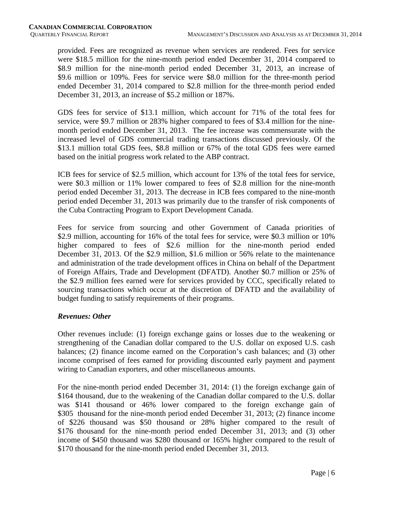provided. Fees are recognized as revenue when services are rendered. Fees for service were \$18.5 million for the nine-month period ended December 31, 2014 compared to \$8.9 million for the nine-month period ended December 31, 2013, an increase of \$9.6 million or 109%. Fees for service were \$8.0 million for the three-month period ended December 31, 2014 compared to \$2.8 million for the three-month period ended December 31, 2013, an increase of \$5.2 million or 187%.

GDS fees for service of \$13.1 million, which account for 71% of the total fees for service, were \$9.7 million or 283% higher compared to fees of \$3.4 million for the ninemonth period ended December 31, 2013. The fee increase was commensurate with the increased level of GDS commercial trading transactions discussed previously. Of the \$13.1 million total GDS fees, \$8.8 million or 67% of the total GDS fees were earned based on the initial progress work related to the ABP contract.

ICB fees for service of \$2.5 million, which account for 13% of the total fees for service, were \$0.3 million or 11% lower compared to fees of \$2.8 million for the nine-month period ended December 31, 2013. The decrease in ICB fees compared to the nine-month period ended December 31, 2013 was primarily due to the transfer of risk components of the Cuba Contracting Program to Export Development Canada.

Fees for service from sourcing and other Government of Canada priorities of \$2.9 million, accounting for 16% of the total fees for service, were \$0.3 million or 10% higher compared to fees of \$2.6 million for the nine-month period ended December 31, 2013. Of the \$2.9 million, \$1.6 million or 56% relate to the maintenance and administration of the trade development offices in China on behalf of the Department of Foreign Affairs, Trade and Development (DFATD). Another \$0.7 million or 25% of the \$2.9 million fees earned were for services provided by CCC, specifically related to sourcing transactions which occur at the discretion of DFATD and the availability of budget funding to satisfy requirements of their programs.

# *Revenues: Other*

Other revenues include: (1) foreign exchange gains or losses due to the weakening or strengthening of the Canadian dollar compared to the U.S. dollar on exposed U.S. cash balances; (2) finance income earned on the Corporation's cash balances; and (3) other income comprised of fees earned for providing discounted early payment and payment wiring to Canadian exporters, and other miscellaneous amounts.

For the nine-month period ended December 31, 2014: (1) the foreign exchange gain of \$164 thousand, due to the weakening of the Canadian dollar compared to the U.S. dollar was \$141 thousand or 46% lower compared to the foreign exchange gain of \$305 thousand for the nine-month period ended December 31, 2013; (2) finance income of \$226 thousand was \$50 thousand or 28% higher compared to the result of \$176 thousand for the nine-month period ended December 31, 2013; and (3) other income of \$450 thousand was \$280 thousand or 165% higher compared to the result of \$170 thousand for the nine-month period ended December 31, 2013.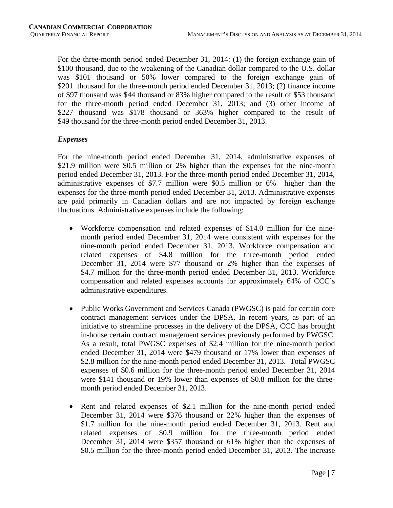For the three-month period ended December 31, 2014: (1) the foreign exchange gain of \$100 thousand, due to the weakening of the Canadian dollar compared to the U.S. dollar was \$101 thousand or 50% lower compared to the foreign exchange gain of \$201 thousand for the three-month period ended December 31, 2013; (2) finance income of \$97 thousand was \$44 thousand or 83% higher compared to the result of \$53 thousand for the three-month period ended December 31, 2013; and (3) other income of \$227 thousand was \$178 thousand or 363% higher compared to the result of \$49 thousand for the three-month period ended December 31, 2013.

#### *Expenses*

For the nine-month period ended December 31, 2014, administrative expenses of \$21.9 million were \$0.5 million or 2% higher than the expenses for the nine-month period ended December 31, 2013. For the three-month period ended December 31, 2014, administrative expenses of \$7.7 million were \$0.5 million or 6% higher than the expenses for the three-month period ended December 31, 2013. Administrative expenses are paid primarily in Canadian dollars and are not impacted by foreign exchange fluctuations. Administrative expenses include the following:

- Workforce compensation and related expenses of \$14.0 million for the ninemonth period ended December 31, 2014 were consistent with expenses for the nine-month period ended December 31, 2013. Workforce compensation and related expenses of \$4.8 million for the three-month period ended December 31, 2014 were \$77 thousand or 2% higher than the expenses of \$4.7 million for the three-month period ended December 31, 2013. Workforce compensation and related expenses accounts for approximately 64% of CCC's administrative expenditures.
- Public Works Government and Services Canada (PWGSC) is paid for certain core contract management services under the DPSA. In recent years, as part of an initiative to streamline processes in the delivery of the DPSA, CCC has brought in-house certain contract management services previously performed by PWGSC. As a result, total PWGSC expenses of \$2.4 million for the nine-month period ended December 31, 2014 were \$479 thousand or 17% lower than expenses of \$2.8 million for the nine-month period ended December 31, 2013. Total PWGSC expenses of \$0.6 million for the three-month period ended December 31, 2014 were \$141 thousand or 19% lower than expenses of \$0.8 million for the threemonth period ended December 31, 2013.
- Rent and related expenses of \$2.1 million for the nine-month period ended December 31, 2014 were \$376 thousand or 22% higher than the expenses of \$1.7 million for the nine-month period ended December 31, 2013. Rent and related expenses of \$0.9 million for the three-month period ended December 31, 2014 were \$357 thousand or 61% higher than the expenses of \$0.5 million for the three-month period ended December 31, 2013. The increase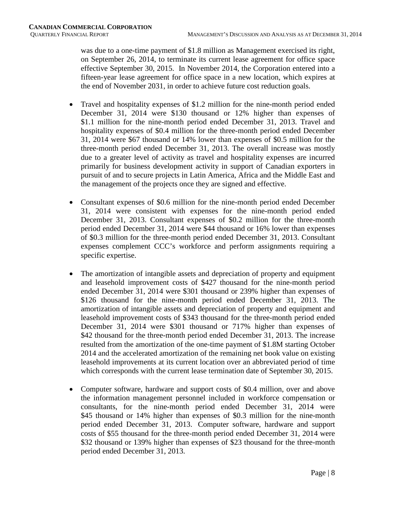was due to a one-time payment of \$1.8 million as Management exercised its right, on September 26, 2014, to terminate its current lease agreement for office space effective September 30, 2015. In November 2014, the Corporation entered into a fifteen-year lease agreement for office space in a new location, which expires at the end of November 2031, in order to achieve future cost reduction goals.

- Travel and hospitality expenses of \$1.2 million for the nine-month period ended December 31, 2014 were \$130 thousand or 12% higher than expenses of \$1.1 million for the nine-month period ended December 31, 2013. Travel and hospitality expenses of \$0.4 million for the three-month period ended December 31, 2014 were \$67 thousand or 14% lower than expenses of \$0.5 million for the three-month period ended December 31, 2013. The overall increase was mostly due to a greater level of activity as travel and hospitality expenses are incurred primarily for business development activity in support of Canadian exporters in pursuit of and to secure projects in Latin America, Africa and the Middle East and the management of the projects once they are signed and effective.
- Consultant expenses of \$0.6 million for the nine-month period ended December 31, 2014 were consistent with expenses for the nine-month period ended December 31, 2013. Consultant expenses of \$0.2 million for the three-month period ended December 31, 2014 were \$44 thousand or 16% lower than expenses of \$0.3 million for the three-month period ended December 31, 2013. Consultant expenses complement CCC's workforce and perform assignments requiring a specific expertise.
- The amortization of intangible assets and depreciation of property and equipment and leasehold improvement costs of \$427 thousand for the nine-month period ended December 31, 2014 were \$301 thousand or 239% higher than expenses of \$126 thousand for the nine-month period ended December 31, 2013. The amortization of intangible assets and depreciation of property and equipment and leasehold improvement costs of \$343 thousand for the three-month period ended December 31, 2014 were \$301 thousand or 717% higher than expenses of \$42 thousand for the three-month period ended December 31, 2013. The increase resulted from the amortization of the one-time payment of \$1.8M starting October 2014 and the accelerated amortization of the remaining net book value on existing leasehold improvements at its current location over an abbreviated period of time which corresponds with the current lease termination date of September 30, 2015.
- Computer software, hardware and support costs of \$0.4 million, over and above the information management personnel included in workforce compensation or consultants, for the nine-month period ended December 31, 2014 were \$45 thousand or 14% higher than expenses of \$0.3 million for the nine-month period ended December 31, 2013. Computer software, hardware and support costs of \$55 thousand for the three-month period ended December 31, 2014 were \$32 thousand or 139% higher than expenses of \$23 thousand for the three-month period ended December 31, 2013.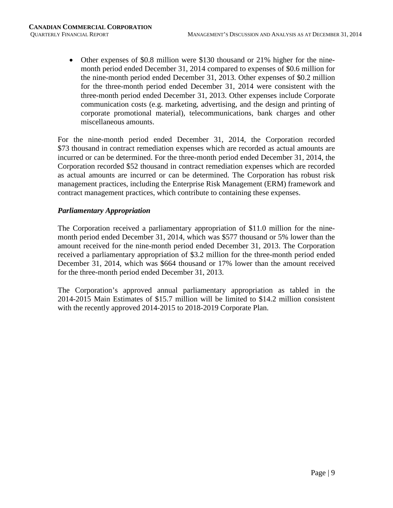• Other expenses of \$0.8 million were \$130 thousand or 21% higher for the ninemonth period ended December 31, 2014 compared to expenses of \$0.6 million for the nine-month period ended December 31, 2013. Other expenses of \$0.2 million for the three-month period ended December 31, 2014 were consistent with the three-month period ended December 31, 2013. Other expenses include Corporate communication costs (e.g. marketing, advertising, and the design and printing of corporate promotional material), telecommunications, bank charges and other miscellaneous amounts.

For the nine-month period ended December 31, 2014, the Corporation recorded \$73 thousand in contract remediation expenses which are recorded as actual amounts are incurred or can be determined. For the three-month period ended December 31, 2014, the Corporation recorded \$52 thousand in contract remediation expenses which are recorded as actual amounts are incurred or can be determined. The Corporation has robust risk management practices, including the Enterprise Risk Management (ERM) framework and contract management practices, which contribute to containing these expenses.

# *Parliamentary Appropriation*

The Corporation received a parliamentary appropriation of \$11.0 million for the ninemonth period ended December 31, 2014, which was \$577 thousand or 5% lower than the amount received for the nine-month period ended December 31, 2013. The Corporation received a parliamentary appropriation of \$3.2 million for the three-month period ended December 31, 2014, which was \$664 thousand or 17% lower than the amount received for the three-month period ended December 31, 2013.

The Corporation's approved annual parliamentary appropriation as tabled in the 2014-2015 Main Estimates of \$15.7 million will be limited to \$14.2 million consistent with the recently approved 2014-2015 to 2018-2019 Corporate Plan.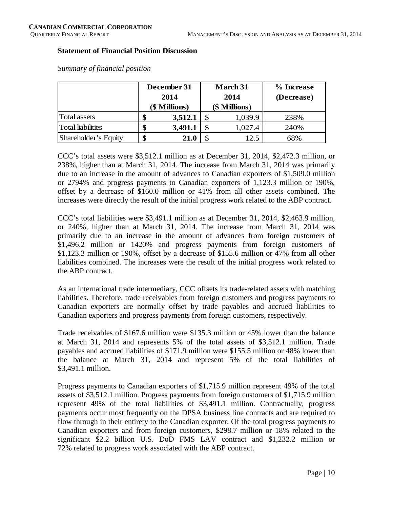#### **Statement of Financial Position Discussion**

|                          |    | December 31<br>2014<br>(\$ Millions) | <b>March 31</b><br>2014<br>(\$ Millions) | % Increase<br>(Decrease) |  |  |  |
|--------------------------|----|--------------------------------------|------------------------------------------|--------------------------|--|--|--|
| Total assets             | S  | 3,512.1                              | 1,039.9                                  | 238%                     |  |  |  |
| <b>Total liabilities</b> | J  | 3,491.1                              | 1,027.4                                  | 240%                     |  |  |  |
| Shareholder's Equity     | \$ | 21.0                                 | 12.5                                     | 68%                      |  |  |  |

*Summary of financial position*

CCC's total assets were \$3,512.1 million as at December 31, 2014, \$2,472.3 million, or 238%, higher than at March 31, 2014. The increase from March 31, 2014 was primarily due to an increase in the amount of advances to Canadian exporters of \$1,509.0 million or 2794% and progress payments to Canadian exporters of 1,123.3 million or 190%, offset by a decrease of \$160.0 million or 41% from all other assets combined. The increases were directly the result of the initial progress work related to the ABP contract.

CCC's total liabilities were \$3,491.1 million as at December 31, 2014, \$2,463.9 million, or 240%, higher than at March 31, 2014. The increase from March 31, 2014 was primarily due to an increase in the amount of advances from foreign customers of \$1,496.2 million or 1420% and progress payments from foreign customers of \$1,123.3 million or 190%, offset by a decrease of \$155.6 million or 47% from all other liabilities combined. The increases were the result of the initial progress work related to the ABP contract.

As an international trade intermediary, CCC offsets its trade-related assets with matching liabilities. Therefore, trade receivables from foreign customers and progress payments to Canadian exporters are normally offset by trade payables and accrued liabilities to Canadian exporters and progress payments from foreign customers, respectively.

Trade receivables of \$167.6 million were \$135.3 million or 45% lower than the balance at March 31, 2014 and represents 5% of the total assets of \$3,512.1 million. Trade payables and accrued liabilities of \$171.9 million were \$155.5 million or 48% lower than the balance at March 31, 2014 and represent 5% of the total liabilities of \$3,491.1 million.

Progress payments to Canadian exporters of \$1,715.9 million represent 49% of the total assets of \$3,512.1 million. Progress payments from foreign customers of \$1,715.9 million represent 49% of the total liabilities of \$3,491.1 million. Contractually, progress payments occur most frequently on the DPSA business line contracts and are required to flow through in their entirety to the Canadian exporter. Of the total progress payments to Canadian exporters and from foreign customers, \$298.7 million or 18% related to the significant \$2.2 billion U.S. DoD FMS LAV contract and \$1,232.2 million or 72% related to progress work associated with the ABP contract.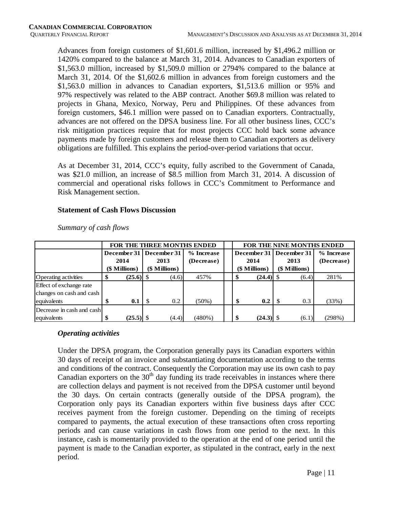Advances from foreign customers of \$1,601.6 million, increased by \$1,496.2 million or 1420% compared to the balance at March 31, 2014. Advances to Canadian exporters of \$1,563.0 million, increased by \$1,509.0 million or 2794% compared to the balance at March 31, 2014. Of the \$1,602.6 million in advances from foreign customers and the \$1,563.0 million in advances to Canadian exporters, \$1,513.6 million or 95% and 97% respectively was related to the ABP contract. Another \$69.8 million was related to projects in Ghana, Mexico, Norway, Peru and Philippines. Of these advances from foreign customers, \$46.1 million were passed on to Canadian exporters. Contractually, advances are not offered on the DPSA business line. For all other business lines, CCC's risk mitigation practices require that for most projects CCC hold back some advance payments made by foreign customers and release them to Canadian exporters as delivery obligations are fulfilled. This explains the period-over-period variations that occur.

As at December 31, 2014, CCC's equity, fully ascribed to the Government of Canada, was \$21.0 million, an increase of \$8.5 million from March 31, 2014. A discussion of commercial and operational risks follows in CCC's Commitment to Performance and Risk Management section.

#### **Statement of Cash Flows Discussion**

|                           |      | FOR THE THREE MONTHS ENDED |     |               |            |  |               | <b>FOR THE NINE MONTHS ENDED</b> |               |                           |            |  |  |  |  |
|---------------------------|------|----------------------------|-----|---------------|------------|--|---------------|----------------------------------|---------------|---------------------------|------------|--|--|--|--|
|                           |      | December 31   December 31  |     |               | % Increase |  |               |                                  |               | December 31   December 31 | % Increase |  |  |  |  |
|                           | 2014 |                            |     | 2013          | (Decrease) |  | 2014          |                                  |               | 2013                      | (Decrease) |  |  |  |  |
|                           |      | (\$ Millions)              |     | (\$ Millions) |            |  | (\$ Millions) |                                  | (\$ Millions) |                           |            |  |  |  |  |
| Operating activities      |      |                            |     | (4.6)         | 457%       |  |               | $(24.4)$ \$                      |               | (6.4)                     | 281%       |  |  |  |  |
| Effect of exchange rate   |      |                            |     |               |            |  |               |                                  |               |                           |            |  |  |  |  |
| changes on cash and cash  |      |                            |     |               |            |  |               |                                  |               |                           |            |  |  |  |  |
| lequivalents              |      | 0.1                        | -\$ | 0.2           | $(50\%)$   |  | \$            | 0.2                              |               | 0.3                       | (33%)      |  |  |  |  |
| Decrease in cash and cash |      |                            |     |               |            |  |               |                                  |               |                           |            |  |  |  |  |
| equivalents               |      |                            |     | (4.4)         | (480%)     |  |               | $(24.3)$ \$                      |               | (6.1)                     | (298%)     |  |  |  |  |

*Summary of cash flows* 

# *Operating activities*

Under the DPSA program, the Corporation generally pays its Canadian exporters within 30 days of receipt of an invoice and substantiating documentation according to the terms and conditions of the contract. Consequently the Corporation may use its own cash to pay Canadian exporters on the  $30<sup>th</sup>$  day funding its trade receivables in instances where there are collection delays and payment is not received from the DPSA customer until beyond the 30 days. On certain contracts (generally outside of the DPSA program), the Corporation only pays its Canadian exporters within five business days after CCC receives payment from the foreign customer. Depending on the timing of receipts compared to payments, the actual execution of these transactions often cross reporting periods and can cause variations in cash flows from one period to the next. In this instance, cash is momentarily provided to the operation at the end of one period until the payment is made to the Canadian exporter, as stipulated in the contract, early in the next period.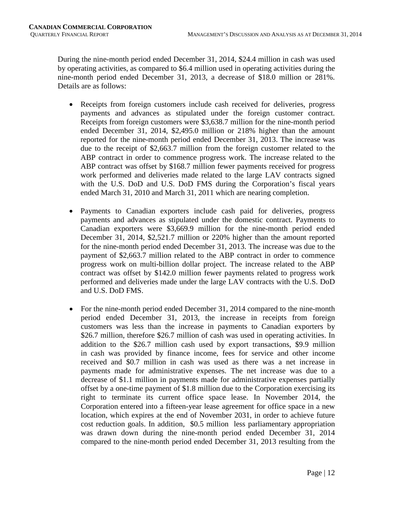During the nine-month period ended December 31, 2014, \$24.4 million in cash was used by operating activities, as compared to \$6.4 million used in operating activities during the nine-month period ended December 31, 2013, a decrease of \$18.0 million or 281%. Details are as follows:

- Receipts from foreign customers include cash received for deliveries, progress payments and advances as stipulated under the foreign customer contract. Receipts from foreign customers were \$3,638.7 million for the nine-month period ended December 31, 2014, \$2,495.0 million or 218% higher than the amount reported for the nine-month period ended December 31, 2013. The increase was due to the receipt of \$2,663.7 million from the foreign customer related to the ABP contract in order to commence progress work. The increase related to the ABP contract was offset by \$168.7 million fewer payments received for progress work performed and deliveries made related to the large LAV contracts signed with the U.S. DoD and U.S. DoD FMS during the Corporation's fiscal years ended March 31, 2010 and March 31, 2011 which are nearing completion.
- Payments to Canadian exporters include cash paid for deliveries, progress payments and advances as stipulated under the domestic contract. Payments to Canadian exporters were \$3,669.9 million for the nine-month period ended December 31, 2014, \$2,521.7 million or 220% higher than the amount reported for the nine-month period ended December 31, 2013. The increase was due to the payment of \$2,663.7 million related to the ABP contract in order to commence progress work on multi-billion dollar project. The increase related to the ABP contract was offset by \$142.0 million fewer payments related to progress work performed and deliveries made under the large LAV contracts with the U.S. DoD and U.S. DoD FMS.
- For the nine-month period ended December 31, 2014 compared to the nine-month period ended December 31, 2013, the increase in receipts from foreign customers was less than the increase in payments to Canadian exporters by \$26.7 million, therefore \$26.7 million of cash was used in operating activities. In addition to the \$26.7 million cash used by export transactions, \$9.9 million in cash was provided by finance income, fees for service and other income received and \$0.7 million in cash was used as there was a net increase in payments made for administrative expenses. The net increase was due to a decrease of \$1.1 million in payments made for administrative expenses partially offset by a one-time payment of \$1.8 million due to the Corporation exercising its right to terminate its current office space lease. In November 2014, the Corporation entered into a fifteen-year lease agreement for office space in a new location, which expires at the end of November 2031, in order to achieve future cost reduction goals. In addition, \$0.5 million less parliamentary appropriation was drawn down during the nine-month period ended December 31, 2014 compared to the nine-month period ended December 31, 2013 resulting from the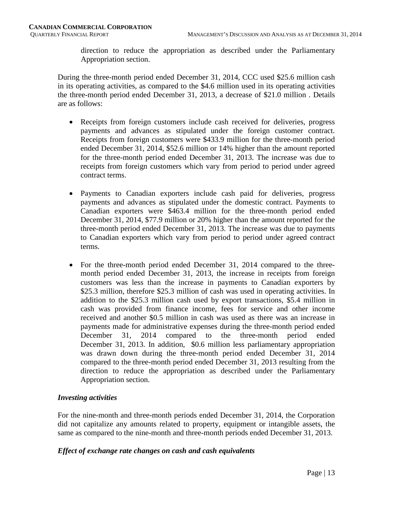direction to reduce the appropriation as described under the Parliamentary Appropriation section.

During the three-month period ended December 31, 2014, CCC used \$25.6 million cash in its operating activities, as compared to the \$4.6 million used in its operating activities the three-month period ended December 31, 2013, a decrease of \$21.0 million . Details are as follows:

- Receipts from foreign customers include cash received for deliveries, progress payments and advances as stipulated under the foreign customer contract. Receipts from foreign customers were \$433.9 million for the three-month period ended December 31, 2014, \$52.6 million or 14% higher than the amount reported for the three-month period ended December 31, 2013. The increase was due to receipts from foreign customers which vary from period to period under agreed contract terms.
- Payments to Canadian exporters include cash paid for deliveries, progress payments and advances as stipulated under the domestic contract. Payments to Canadian exporters were \$463.4 million for the three-month period ended December 31, 2014, \$77.9 million or 20% higher than the amount reported for the three-month period ended December 31, 2013. The increase was due to payments to Canadian exporters which vary from period to period under agreed contract terms.
- For the three-month period ended December 31, 2014 compared to the threemonth period ended December 31, 2013, the increase in receipts from foreign customers was less than the increase in payments to Canadian exporters by \$25.3 million, therefore \$25.3 million of cash was used in operating activities. In addition to the \$25.3 million cash used by export transactions, \$5.4 million in cash was provided from finance income, fees for service and other income received and another \$0.5 million in cash was used as there was an increase in payments made for administrative expenses during the three-month period ended December 31, 2014 compared to the three-month period ended December 31, 2013. In addition, \$0.6 million less parliamentary appropriation was drawn down during the three-month period ended December 31, 2014 compared to the three-month period ended December 31, 2013 resulting from the direction to reduce the appropriation as described under the Parliamentary Appropriation section.

# *Investing activities*

For the nine-month and three-month periods ended December 31, 2014, the Corporation did not capitalize any amounts related to property, equipment or intangible assets, the same as compared to the nine-month and three-month periods ended December 31, 2013.

#### *Effect of exchange rate changes on cash and cash equivalents*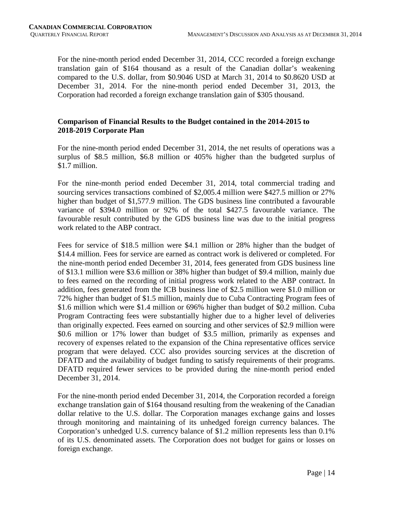For the nine-month period ended December 31, 2014, CCC recorded a foreign exchange translation gain of \$164 thousand as a result of the Canadian dollar's weakening compared to the U.S. dollar, from \$0.9046 USD at March 31, 2014 to \$0.8620 USD at December 31, 2014. For the nine-month period ended December 31, 2013, the Corporation had recorded a foreign exchange translation gain of \$305 thousand.

# **Comparison of Financial Results to the Budget contained in the 2014-2015 to 2018-2019 Corporate Plan**

For the nine-month period ended December 31, 2014, the net results of operations was a surplus of \$8.5 million, \$6.8 million or 405% higher than the budgeted surplus of \$1.7 million.

For the nine-month period ended December 31, 2014, total commercial trading and sourcing services transactions combined of \$2,005.4 million were \$427.5 million or 27% higher than budget of \$1,577.9 million. The GDS business line contributed a favourable variance of \$394.0 million or 92% of the total \$427.5 favourable variance. The favourable result contributed by the GDS business line was due to the initial progress work related to the ABP contract.

Fees for service of \$18.5 million were \$4.1 million or 28% higher than the budget of \$14.4 million. Fees for service are earned as contract work is delivered or completed. For the nine-month period ended December 31, 2014, fees generated from GDS business line of \$13.1 million were \$3.6 million or 38% higher than budget of \$9.4 million, mainly due to fees earned on the recording of initial progress work related to the ABP contract. In addition, fees generated from the ICB business line of \$2.5 million were \$1.0 million or 72% higher than budget of \$1.5 million, mainly due to Cuba Contracting Program fees of \$1.6 million which were \$1.4 million or 696% higher than budget of \$0.2 million. Cuba Program Contracting fees were substantially higher due to a higher level of deliveries than originally expected. Fees earned on sourcing and other services of \$2.9 million were \$0.6 million or 17% lower than budget of \$3.5 million, primarily as expenses and recovery of expenses related to the expansion of the China representative offices service program that were delayed. CCC also provides sourcing services at the discretion of DFATD and the availability of budget funding to satisfy requirements of their programs. DFATD required fewer services to be provided during the nine-month period ended December 31, 2014.

For the nine-month period ended December 31, 2014, the Corporation recorded a foreign exchange translation gain of \$164 thousand resulting from the weakening of the Canadian dollar relative to the U.S. dollar. The Corporation manages exchange gains and losses through monitoring and maintaining of its unhedged foreign currency balances. The Corporation's unhedged U.S. currency balance of \$1.2 million represents less than 0.1% of its U.S. denominated assets. The Corporation does not budget for gains or losses on foreign exchange.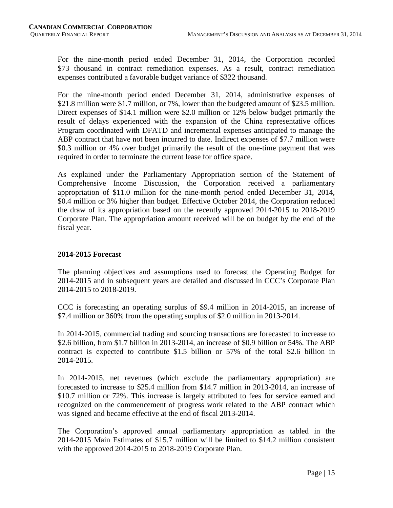For the nine-month period ended December 31, 2014, the Corporation recorded \$73 thousand in contract remediation expenses. As a result, contract remediation expenses contributed a favorable budget variance of \$322 thousand.

For the nine-month period ended December 31, 2014, administrative expenses of \$21.8 million were \$1.7 million, or 7%, lower than the budgeted amount of \$23.5 million. Direct expenses of \$14.1 million were \$2.0 million or 12% below budget primarily the result of delays experienced with the expansion of the China representative offices Program coordinated with DFATD and incremental expenses anticipated to manage the ABP contract that have not been incurred to date. Indirect expenses of \$7.7 million were \$0.3 million or 4% over budget primarily the result of the one-time payment that was required in order to terminate the current lease for office space.

As explained under the Parliamentary Appropriation section of the Statement of Comprehensive Income Discussion, the Corporation received a parliamentary appropriation of \$11.0 million for the nine-month period ended December 31, 2014, \$0.4 million or 3% higher than budget. Effective October 2014, the Corporation reduced the draw of its appropriation based on the recently approved 2014-2015 to 2018-2019 Corporate Plan. The appropriation amount received will be on budget by the end of the fiscal year.

# **2014-2015 Forecast**

The planning objectives and assumptions used to forecast the Operating Budget for 2014-2015 and in subsequent years are detailed and discussed in CCC's Corporate Plan 2014-2015 to 2018-2019.

CCC is forecasting an operating surplus of \$9.4 million in 2014-2015, an increase of \$7.4 million or 360% from the operating surplus of \$2.0 million in 2013-2014.

In 2014-2015, commercial trading and sourcing transactions are forecasted to increase to \$2.6 billion, from \$1.7 billion in 2013-2014, an increase of \$0.9 billion or 54%. The ABP contract is expected to contribute \$1.5 billion or 57% of the total \$2.6 billion in 2014-2015.

In 2014-2015, net revenues (which exclude the parliamentary appropriation) are forecasted to increase to \$25.4 million from \$14.7 million in 2013-2014, an increase of \$10.7 million or 72%. This increase is largely attributed to fees for service earned and recognized on the commencement of progress work related to the ABP contract which was signed and became effective at the end of fiscal 2013-2014.

The Corporation's approved annual parliamentary appropriation as tabled in the 2014-2015 Main Estimates of \$15.7 million will be limited to \$14.2 million consistent with the approved 2014-2015 to 2018-2019 Corporate Plan.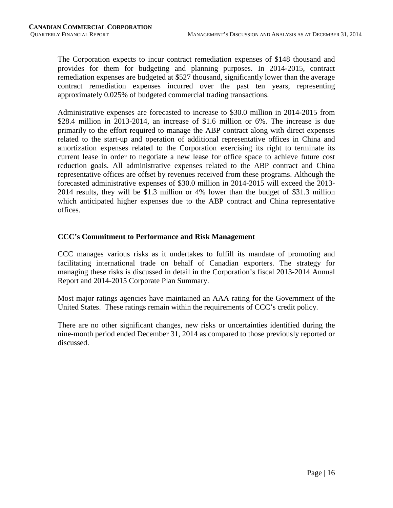The Corporation expects to incur contract remediation expenses of \$148 thousand and provides for them for budgeting and planning purposes. In 2014-2015, contract remediation expenses are budgeted at \$527 thousand, significantly lower than the average contract remediation expenses incurred over the past ten years, representing approximately 0.025% of budgeted commercial trading transactions.

Administrative expenses are forecasted to increase to \$30.0 million in 2014-2015 from \$28.4 million in 2013-2014, an increase of \$1.6 million or 6%. The increase is due primarily to the effort required to manage the ABP contract along with direct expenses related to the start-up and operation of additional representative offices in China and amortization expenses related to the Corporation exercising its right to terminate its current lease in order to negotiate a new lease for office space to achieve future cost reduction goals. All administrative expenses related to the ABP contract and China representative offices are offset by revenues received from these programs. Although the forecasted administrative expenses of \$30.0 million in 2014-2015 will exceed the 2013- 2014 results, they will be \$1.3 million or 4% lower than the budget of \$31.3 million which anticipated higher expenses due to the ABP contract and China representative offices.

# **CCC's Commitment to Performance and Risk Management**

CCC manages various risks as it undertakes to fulfill its mandate of promoting and facilitating international trade on behalf of Canadian exporters. The strategy for managing these risks is discussed in detail in the Corporation's fiscal 2013-2014 Annual Report and 2014-2015 Corporate Plan Summary.

Most major ratings agencies have maintained an AAA rating for the Government of the United States. These ratings remain within the requirements of CCC's credit policy.

There are no other significant changes, new risks or uncertainties identified during the nine-month period ended December 31, 2014 as compared to those previously reported or discussed.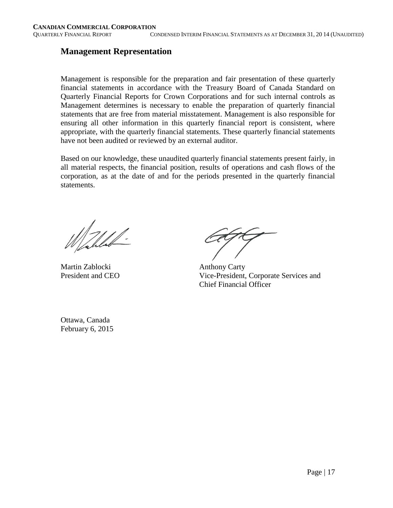# **Management Representation**

Management is responsible for the preparation and fair presentation of these quarterly financial statements in accordance with the Treasury Board of Canada Standard on Quarterly Financial Reports for Crown Corporations and for such internal controls as Management determines is necessary to enable the preparation of quarterly financial statements that are free from material misstatement. Management is also responsible for ensuring all other information in this quarterly financial report is consistent, where appropriate, with the quarterly financial statements. These quarterly financial statements have not been audited or reviewed by an external auditor.

Based on our knowledge, these unaudited quarterly financial statements present fairly, in all material respects, the financial position, results of operations and cash flows of the corporation, as at the date of and for the periods presented in the quarterly financial statements.

Mahlel-

Martin Zablocki Anthony Carty

President and CEO Vice-President, Corporate Services and Chief Financial Officer

Ottawa, Canada February 6, 2015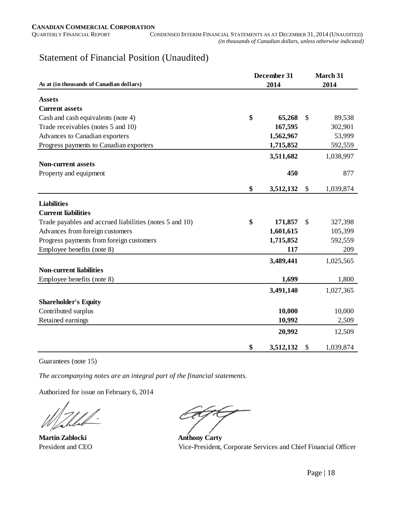# Statement of Financial Position (Unaudited)

|                                                         | December 31 | March 31  |                 |  |
|---------------------------------------------------------|-------------|-----------|-----------------|--|
| As at (in thousands of Canadian dollars)                |             | 2014      |                 |  |
| <b>Assets</b>                                           |             |           |                 |  |
| <b>Current assets</b>                                   |             |           |                 |  |
| Cash and cash equivalents (note 4)                      | \$          | 65,268    | \$<br>89,538    |  |
| Trade receivables (notes 5 and 10)                      |             | 167,595   | 302,901         |  |
| Advances to Canadian exporters                          |             | 1,562,967 | 53,999          |  |
| Progress payments to Canadian exporters                 |             | 1,715,852 | 592,559         |  |
|                                                         |             | 3,511,682 | 1,038,997       |  |
| <b>Non-current assets</b>                               |             |           |                 |  |
| Property and equipment                                  |             | 450       | 877             |  |
|                                                         |             |           |                 |  |
|                                                         | \$          | 3,512,132 | \$<br>1,039,874 |  |
| <b>Liabilities</b>                                      |             |           |                 |  |
| <b>Current liabilities</b>                              |             |           |                 |  |
| Trade payables and accrued liabilities (notes 5 and 10) | \$          | 171,857   | \$<br>327,398   |  |
| Advances from foreign customers                         |             | 1,601,615 | 105,399         |  |
| Progress payments from foreign customers                |             | 1,715,852 | 592,559         |  |
| Employee benefits (note 8)                              |             | 117       | 209             |  |
|                                                         |             | 3,489,441 | 1,025,565       |  |
| <b>Non-current liabilities</b>                          |             |           |                 |  |
| Employee benefits (note 8)                              |             | 1,699     | 1,800           |  |
|                                                         |             | 3,491,140 | 1,027,365       |  |
| <b>Shareholder's Equity</b>                             |             |           |                 |  |
| Contributed surplus                                     |             | 10,000    | 10,000          |  |
| Retained earnings                                       |             | 10,992    | 2,509           |  |
|                                                         |             |           |                 |  |
|                                                         |             | 20,992    | 12,509          |  |
|                                                         | \$          | 3,512,132 | \$<br>1,039,874 |  |

Guarantees (note 15)

*The accompanying notes are an integral part of the financial statements.*

Authorized for issue on February 6, 2014

**Martin Zablocki Anthony Carty** 

President and CEO Vice-President, Corporate Services and Chief Financial Officer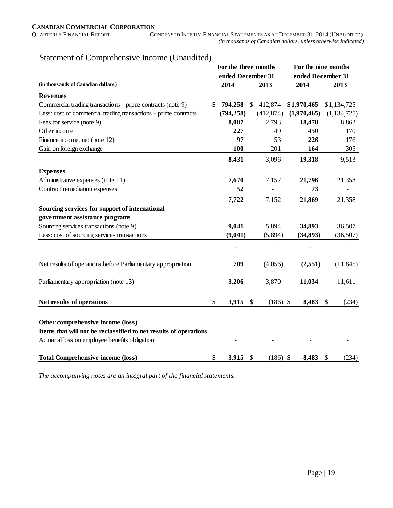| Statement of Comprehensive Income (Unaudited) |  |
|-----------------------------------------------|--|
|-----------------------------------------------|--|

|                                                                                                       | For the three months |                           |                | For the nine months |             |                           |                          |
|-------------------------------------------------------------------------------------------------------|----------------------|---------------------------|----------------|---------------------|-------------|---------------------------|--------------------------|
|                                                                                                       | ended December 31    |                           |                |                     |             | ended December 31         |                          |
| (in thousands of Canadian dollars)                                                                    | 2014                 |                           | 2013           |                     | 2014        |                           | 2013                     |
| <b>Revenues</b>                                                                                       |                      |                           |                |                     |             |                           |                          |
| Commercial trading transactions - prime contracts (note 9)                                            | \$<br>794,258        | $\mathbb{S}$              | 412,874        |                     | \$1,970,465 |                           | \$1,134,725              |
| Less: cost of commercial trading transactions - prime contracts                                       | (794, 258)           |                           | (412, 874)     |                     | (1,970,465) |                           | (1, 134, 725)            |
| Fees for service (note 9)                                                                             | 8,007                |                           | 2,793          |                     | 18,478      |                           | 8,862                    |
| Other income                                                                                          | 227                  |                           | 49             |                     | 450         |                           | 170                      |
| Finance income, net (note 12)                                                                         | 97                   |                           | 53             |                     | 226         |                           | 176                      |
| Gain on foreign exchange                                                                              | 100                  |                           | 201            |                     | 164         |                           | 305                      |
|                                                                                                       | 8,431                |                           | 3,096          |                     | 19,318      |                           | 9,513                    |
| <b>Expenses</b>                                                                                       |                      |                           |                |                     |             |                           |                          |
| Administrative expenses (note 11)                                                                     | 7,670                |                           | 7,152          |                     | 21,796      |                           | 21,358                   |
| Contract remediation expenses                                                                         | 52                   |                           | $\blacksquare$ |                     | 73          |                           | $\overline{\phantom{a}}$ |
|                                                                                                       | 7,722                |                           | 7,152          |                     | 21,869      |                           | 21,358                   |
| Sourcing services for support of international                                                        |                      |                           |                |                     |             |                           |                          |
| government assistance programs                                                                        |                      |                           |                |                     |             |                           |                          |
| Sourcing services transactions (note 9)                                                               | 9,041                |                           | 5,894          |                     | 34,893      |                           | 36,507                   |
| Less: cost of sourcing services transactions                                                          | (9,041)              |                           | (5,894)        |                     | (34, 893)   |                           | (36,507)                 |
|                                                                                                       |                      |                           |                |                     |             |                           |                          |
| Net results of operations before Parliamentary appropriation                                          | 709                  |                           | (4,056)        |                     | (2,551)     |                           | (11, 845)                |
| Parliamentary appropriation (note 13)                                                                 | 3,206                |                           | 3,870          |                     | 11,034      |                           | 11,611                   |
|                                                                                                       |                      |                           |                |                     |             |                           |                          |
| Net results of operations                                                                             | \$<br>3,915          | $\boldsymbol{\mathsf{S}}$ | $(186)$ \$     |                     | 8,483       | $\mathcal{S}$             | (234)                    |
| Other comprehensive income (loss)<br>Items that will not be reclassified to net results of operations |                      |                           |                |                     |             |                           |                          |
| Actuarial loss on employee benefits obligation                                                        |                      |                           |                |                     |             |                           |                          |
|                                                                                                       |                      |                           |                |                     |             |                           |                          |
| <b>Total Comprehensive income (loss)</b>                                                              | \$<br>3,915          | \$                        | $(186)$ \$     |                     | 8,483       | $\boldsymbol{\mathsf{S}}$ | (234)                    |

*The accompanying notes are an integral part of the financial statements.*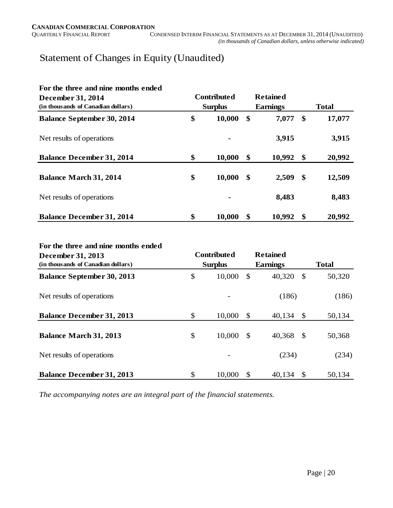# Statement of Changes in Equity (Unaudited)

| For the three and nine months ended<br>December 31, 2014 | <b>Contributed</b> |                |               | <b>Retained</b> |              |        |  |
|----------------------------------------------------------|--------------------|----------------|---------------|-----------------|--------------|--------|--|
| (in thousands of Canadian dollars)                       |                    | <b>Surplus</b> |               | <b>Earnings</b> | <b>Total</b> |        |  |
| <b>Balance September 30, 2014</b>                        | \$                 | 10,000         | \$            | 7,077           | \$           | 17,077 |  |
| Net results of operations                                |                    |                |               | 3,915           |              | 3,915  |  |
| <b>Balance December 31, 2014</b>                         | \$                 | 10,000         | \$            | 10,992          | \$           | 20,992 |  |
| <b>Balance March 31, 2014</b>                            | \$                 | 10,000         | $\mathbf{\$}$ | 2,509           | \$           | 12,509 |  |
| Net results of operations                                |                    |                |               | 8,483           |              | 8,483  |  |
| <b>Balance December 31, 2014</b>                         | \$                 | 10,000         | \$            | 10,992          | \$           | 20,992 |  |

#### **For the three and nine months ended**

| December 31, 2013                  | <b>Contributed</b> |                |                 | <b>Retained</b> |              |        |
|------------------------------------|--------------------|----------------|-----------------|-----------------|--------------|--------|
| (in thousands of Canadian dollars) |                    | <b>Surplus</b> | <b>Earnings</b> |                 | <b>Total</b> |        |
| <b>Balance September 30, 2013</b>  | \$                 | 10,000         | \$              | 40,320          | \$           | 50,320 |
| Net results of operations          |                    |                |                 | (186)           |              | (186)  |
| <b>Balance December 31, 2013</b>   | \$                 | 10,000         | \$              | 40,134          | -S           | 50,134 |
| <b>Balance March 31, 2013</b>      | \$                 | 10,000         | $\mathcal{S}$   | 40,368          | -S           | 50,368 |
| Net results of operations          |                    |                |                 | (234)           |              | (234)  |
| <b>Balance December 31, 2013</b>   | \$                 | 10,000         | S.              | 40,134          | -S           | 50,134 |

*The accompanying notes are an integral part of the financial statements.*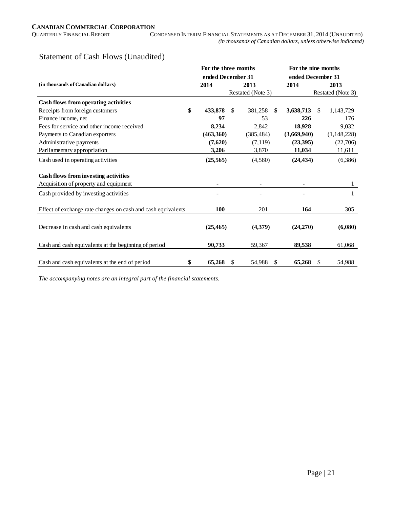# Statement of Cash Flows (Unaudited)

|                                                              | For the three months |               |                   | For the nine months |     |                   |  |  |  |
|--------------------------------------------------------------|----------------------|---------------|-------------------|---------------------|-----|-------------------|--|--|--|
|                                                              | ended December 31    |               |                   | ended December 31   |     |                   |  |  |  |
| (in thousands of Canadian dollars)                           | 2014                 |               | 2013              | 2014                |     | 2013              |  |  |  |
|                                                              |                      |               | Restated (Note 3) |                     |     | Restated (Note 3) |  |  |  |
| Cash flows from operating activities                         |                      |               |                   |                     |     |                   |  |  |  |
| \$<br>Receipts from foreign customers                        | 433,878              | <sup>\$</sup> | 381,258           | \$<br>3,638,713     | \$. | 1,143,729         |  |  |  |
| Finance income, net                                          | 97                   |               | 53                | 226                 |     | 176               |  |  |  |
| Fees for service and other income received                   | 8,234                |               | 2,842             | 18,928              |     | 9,032             |  |  |  |
| Payments to Canadian exporters                               | (463,360)            |               | (385, 484)        | (3,669,940)         |     | (1,148,228)       |  |  |  |
| Administrative payments                                      | (7,620)              |               | (7, 119)          | (23,395)            |     | (22,706)          |  |  |  |
| Parliamentary appropriation                                  | 3,206                |               | 3,870             | 11,034              |     | 11,611            |  |  |  |
| Cash used in operating activities                            | (25, 565)            |               | (4,580)           | (24, 434)           |     | (6,386)           |  |  |  |
| Cash flows from investing activities                         |                      |               |                   |                     |     |                   |  |  |  |
| Acquisition of property and equipment                        |                      |               |                   |                     |     | $\mathbf{1}$      |  |  |  |
| Cash provided by investing activities                        |                      |               |                   |                     |     | $\mathbf{1}$      |  |  |  |
| Effect of exchange rate changes on cash and cash equivalents | 100                  |               | 201               | 164                 |     | 305               |  |  |  |
| Decrease in cash and cash equivalents                        | (25, 465)            |               | (4,379)           | (24,270)            |     | (6,080)           |  |  |  |
| Cash and cash equivalents at the beginning of period         | 90,733               |               | 59,367            | 89.538              |     | 61,068            |  |  |  |
| Cash and cash equivalents at the end of period<br>\$         | 65,268               | \$            | 54,988            | \$<br>65,268        | \$  | 54,988            |  |  |  |

*The accompanying notes are an integral part of the financial statements.*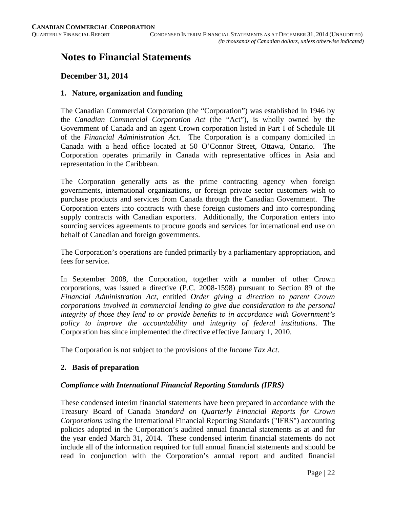# **Notes to Financial Statements**

# **December 31, 2014**

#### **1. Nature, organization and funding**

The Canadian Commercial Corporation (the "Corporation") was established in 1946 by the *Canadian Commercial Corporation Act* (the "Act"), is wholly owned by the Government of Canada and an agent Crown corporation listed in Part I of Schedule III of the *Financial Administration Act*. The Corporation is a company domiciled in Canada with a head office located at 50 O'Connor Street, Ottawa, Ontario. The Corporation operates primarily in Canada with representative offices in Asia and representation in the Caribbean.

The Corporation generally acts as the prime contracting agency when foreign governments, international organizations, or foreign private sector customers wish to purchase products and services from Canada through the Canadian Government. The Corporation enters into contracts with these foreign customers and into corresponding supply contracts with Canadian exporters. Additionally, the Corporation enters into sourcing services agreements to procure goods and services for international end use on behalf of Canadian and foreign governments.

The Corporation's operations are funded primarily by a parliamentary appropriation, and fees for service.

In September 2008, the Corporation, together with a number of other Crown corporations, was issued a directive (P.C. 2008-1598) pursuant to Section 89 of the *Financial Administration Act*, entitled *Order giving a direction to parent Crown corporations involved in commercial lending to give due consideration to the personal integrity of those they lend to or provide benefits to in accordance with Government's policy to improve the accountability and integrity of federal institutions*. The Corporation has since implemented the directive effective January 1, 2010.

The Corporation is not subject to the provisions of the *Income Tax Act*.

#### **2. Basis of preparation**

#### *Compliance with International Financial Reporting Standards (IFRS)*

These condensed interim financial statements have been prepared in accordance with the Treasury Board of Canada *Standard on Quarterly Financial Reports for Crown Corporations* using the International Financial Reporting Standards ("IFRS") accounting policies adopted in the Corporation's audited annual financial statements as at and for the year ended March 31, 2014. These condensed interim financial statements do not include all of the information required for full annual financial statements and should be read in conjunction with the Corporation's annual report and audited financial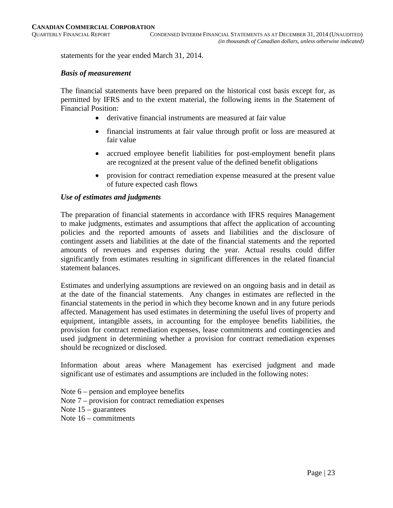statements for the year ended March 31, 2014.

#### *Basis of measurement*

The financial statements have been prepared on the historical cost basis except for, as permitted by IFRS and to the extent material, the following items in the Statement of Financial Position:

- derivative financial instruments are measured at fair value
- financial instruments at fair value through profit or loss are measured at fair value
- accrued employee benefit liabilities for post-employment benefit plans are recognized at the present value of the defined benefit obligations
- provision for contract remediation expense measured at the present value of future expected cash flows

#### *Use of estimates and judgments*

The preparation of financial statements in accordance with IFRS requires Management to make judgments, estimates and assumptions that affect the application of accounting policies and the reported amounts of assets and liabilities and the disclosure of contingent assets and liabilities at the date of the financial statements and the reported amounts of revenues and expenses during the year. Actual results could differ significantly from estimates resulting in significant differences in the related financial statement balances.

Estimates and underlying assumptions are reviewed on an ongoing basis and in detail as at the date of the financial statements. Any changes in estimates are reflected in the financial statements in the period in which they become known and in any future periods affected. Management has used estimates in determining the useful lives of property and equipment, intangible assets, in accounting for the employee benefits liabilities, the provision for contract remediation expenses, lease commitments and contingencies and used judgment in determining whether a provision for contract remediation expenses should be recognized or disclosed.

Information about areas where Management has exercised judgment and made significant use of estimates and assumptions are included in the following notes:

Note 6 – pension and employee benefits Note 7 – provision for contract remediation expenses Note  $15$  – guarantees Note 16 – commitments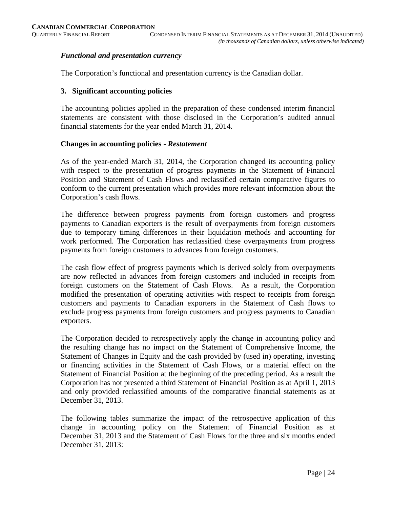#### *Functional and presentation currency*

The Corporation's functional and presentation currency is the Canadian dollar.

#### **3. Significant accounting policies**

The accounting policies applied in the preparation of these condensed interim financial statements are consistent with those disclosed in the Corporation's audited annual financial statements for the year ended March 31, 2014.

#### **Changes in accounting policies -** *Restatement*

As of the year-ended March 31, 2014, the Corporation changed its accounting policy with respect to the presentation of progress payments in the Statement of Financial Position and Statement of Cash Flows and reclassified certain comparative figures to conform to the current presentation which provides more relevant information about the Corporation's cash flows.

The difference between progress payments from foreign customers and progress payments to Canadian exporters is the result of overpayments from foreign customers due to temporary timing differences in their liquidation methods and accounting for work performed. The Corporation has reclassified these overpayments from progress payments from foreign customers to advances from foreign customers.

The cash flow effect of progress payments which is derived solely from overpayments are now reflected in advances from foreign customers and included in receipts from foreign customers on the Statement of Cash Flows. As a result, the Corporation modified the presentation of operating activities with respect to receipts from foreign customers and payments to Canadian exporters in the Statement of Cash flows to exclude progress payments from foreign customers and progress payments to Canadian exporters.

The Corporation decided to retrospectively apply the change in accounting policy and the resulting change has no impact on the Statement of Comprehensive Income, the Statement of Changes in Equity and the cash provided by (used in) operating, investing or financing activities in the Statement of Cash Flows, or a material effect on the Statement of Financial Position at the beginning of the preceding period. As a result the Corporation has not presented a third Statement of Financial Position as at April 1, 2013 and only provided reclassified amounts of the comparative financial statements as at December 31, 2013.

The following tables summarize the impact of the retrospective application of this change in accounting policy on the Statement of Financial Position as at December 31, 2013 and the Statement of Cash Flows for the three and six months ended December 31, 2013: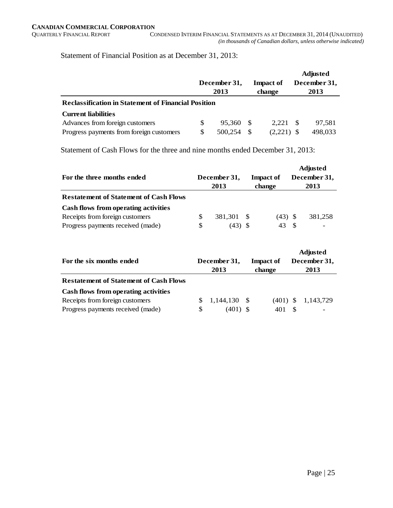Statement of Financial Position as at December 31, 2013:

|                                                            |              |         |     |                  |              | <b>Adjusted</b> |  |  |  |  |
|------------------------------------------------------------|--------------|---------|-----|------------------|--------------|-----------------|--|--|--|--|
|                                                            | December 31, |         |     | <b>Impact of</b> | December 31, |                 |  |  |  |  |
|                                                            |              | 2013    |     | change           |              | 2013            |  |  |  |  |
| <b>Reclassification in Statement of Financial Position</b> |              |         |     |                  |              |                 |  |  |  |  |
| <b>Current liabilities</b>                                 |              |         |     |                  |              |                 |  |  |  |  |
| Advances from foreign customers                            | S            | 95.360  | - S | 2.221            | -S           | 97.581          |  |  |  |  |
| Progress payments from foreign customers                   | S            | 500.254 | -S  | (2,221)          |              | 498,033         |  |  |  |  |

Statement of Cash Flows for the three and nine months ended December 31, 2013:

| For the three months ended                    |     | December 31,<br>2013 | <b>Impact of</b><br>change | <b>Adjusted</b><br>December 31,<br>2013 |         |  |
|-----------------------------------------------|-----|----------------------|----------------------------|-----------------------------------------|---------|--|
| <b>Restatement of Statement of Cash Flows</b> |     |                      |                            |                                         |         |  |
| Cash flows from operating activities          |     |                      |                            |                                         |         |  |
| Receipts from foreign customers               | \$. | 381.301 \$           | $(43)$ \$                  |                                         | 381,258 |  |
| Progress payments received (made)             | S   | (43) S               | 43                         |                                         |         |  |

| For the six months ended                      |   | December 31,<br>2013 | <b>Impact of</b><br>change | <b>Adjusted</b><br>December 31,<br>2013 |           |  |
|-----------------------------------------------|---|----------------------|----------------------------|-----------------------------------------|-----------|--|
| <b>Restatement of Statement of Cash Flows</b> |   |                      |                            |                                         |           |  |
| Cash flows from operating activities          |   |                      |                            |                                         |           |  |
| Receipts from foreign customers               |   | $1.144.130$ \$       | $(401)$ \$                 |                                         | 1,143,729 |  |
| Progress payments received (made)             | S | $(401)$ \$           |                            |                                         |           |  |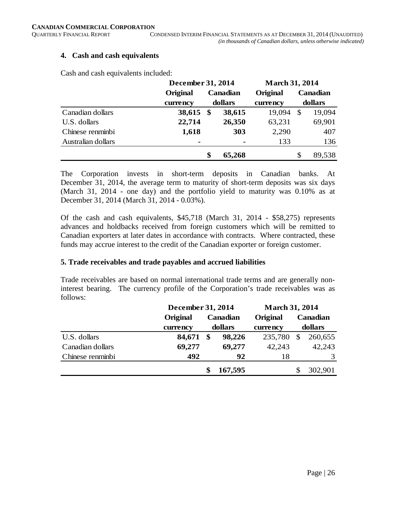#### **4. Cash and cash equivalents**

Cash and cash equivalents included:

|                    | December 31, 2014 | <b>March 31, 2014</b> |          |          |    |          |
|--------------------|-------------------|-----------------------|----------|----------|----|----------|
|                    | Original          |                       | Canadian | Original |    | Canadian |
|                    | currency          |                       | dollars  | currency |    | dollars  |
| Canadian dollars   | 38,615            | $\sqrt[6]{3}$         | 38,615   | 19,094   | -S | 19,094   |
| U.S. dollars       | 22,714            |                       | 26,350   | 63,231   |    | 69,901   |
| Chinese renminbi   | 1,618             |                       | 303      | 2,290    |    | 407      |
| Australian dollars | ۰                 |                       |          | 133      |    | 136      |
|                    |                   | \$                    | 65,268   |          | \$ | 89,538   |

The Corporation invests in short-term deposits in Canadian banks. At December 31, 2014, the average term to maturity of short-term deposits was six days (March 31, 2014 - one day) and the portfolio yield to maturity was 0.10% as at December 31, 2014 (March 31, 2014 - 0.03%).

Of the cash and cash equivalents, \$45,718 (March 31, 2014 - \$58,275) represents advances and holdbacks received from foreign customers which will be remitted to Canadian exporters at later dates in accordance with contracts. Where contracted, these funds may accrue interest to the credit of the Canadian exporter or foreign customer.

#### **5. Trade receivables and trade payables and accrued liabilities**

Trade receivables are based on normal international trade terms and are generally noninterest bearing. The currency profile of the Corporation's trade receivables was as follows:

|                  | December 31, 2014 |    | <b>March 31, 2014</b> |          |          |         |  |
|------------------|-------------------|----|-----------------------|----------|----------|---------|--|
|                  | Original          |    | Canadian              | Original | Canadian |         |  |
|                  | currency          |    | dollars<br>currency   |          | dollars  |         |  |
| U.S. dollars     | 84,671            | \$ | 98,226                | 235,780  | \$       | 260,655 |  |
| Canadian dollars | 69,277            |    | 69,277                | 42,243   |          | 42,243  |  |
| Chinese renminbi | 492               |    | 92                    | 18       |          | 3       |  |
|                  |                   |    | 167,595               |          |          | 302,901 |  |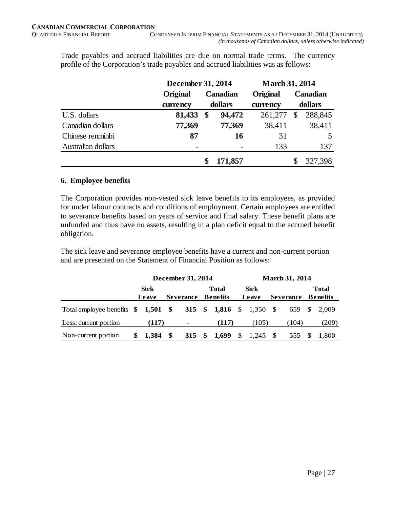Trade payables and accrued liabilities are due on normal trade terms. The currency profile of the Corporation's trade payables and accrued liabilities was as follows:

|                    | December 31, 2014 | <b>March 31, 2014</b> |          |          |         |  |
|--------------------|-------------------|-----------------------|----------|----------|---------|--|
|                    | <b>Original</b>   | Canadian              | Original | Canadian |         |  |
|                    | currency          | dollars<br>currency   |          | dollars  |         |  |
| U.S. dollars       | 81,433            | \$<br>94,472          | 261,277  | \$       | 288,845 |  |
| Canadian dollars   | 77,369            | 77,369                | 38,411   |          | 38,411  |  |
| Chinese renminbi   | 87                | <b>16</b>             | 31       |          | 5       |  |
| Australian dollars | $\blacksquare$    |                       | 133      |          | 137     |  |
|                    |                   | 171,857               |          |          | 327,398 |  |

#### **6. Employee benefits**

The Corporation provides non-vested sick leave benefits to its employees, as provided for under labour contracts and conditions of employment. Certain employees are entitled to severance benefits based on years of service and final salary. These benefit plans are unfunded and thus have no assets, resulting in a plan deficit equal to the accrued benefit obligation.

The sick leave and severance employee benefits have a current and non-current portion and are presented on the Statement of Financial Position as follows:

|                                                          |   | December 31, 2014 |  |                   |  |              |    | <b>March 31, 2014</b> |  |                  |  |                 |  |  |
|----------------------------------------------------------|---|-------------------|--|-------------------|--|--------------|----|-----------------------|--|------------------|--|-----------------|--|--|
|                                                          |   | <b>Sick</b>       |  |                   |  | <b>Total</b> |    | Sick                  |  |                  |  | <b>Total</b>    |  |  |
|                                                          |   | Leave             |  | <b>Severance</b>  |  | Benefits     |    | Leave                 |  | <b>Severance</b> |  | <b>Benefits</b> |  |  |
| Total employee benefits \$1,501 \$315 \$1,816 \$1,350 \$ |   |                   |  |                   |  |              |    |                       |  |                  |  | 659 \$ 2,009    |  |  |
| Less: current portion                                    |   | (117)             |  | $\blacksquare$    |  | (117)        |    | (105)                 |  | (104)            |  | (209)           |  |  |
| Non-current portion                                      | S | $1,384$ \$        |  | 315 $\frac{1}{2}$ |  | 1,699        | \$ | 1,245 \$              |  | 555              |  | 1,800           |  |  |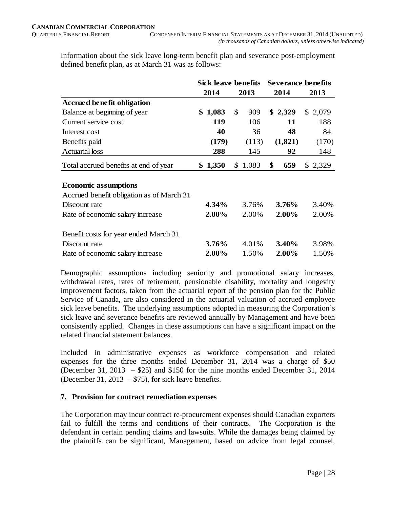Information about the sick leave long-term benefit plan and severance post-employment defined benefit plan, as at March 31 was as follows:

|                                           | <b>Sick leave benefits</b> |         |    |         | <b>Severance benefits</b> |          |  |         |
|-------------------------------------------|----------------------------|---------|----|---------|---------------------------|----------|--|---------|
|                                           |                            | 2014    |    | 2013    |                           | 2014     |  | 2013    |
| <b>Accrued benefit obligation</b>         |                            |         |    |         |                           |          |  |         |
| Balance at beginning of year              | \$                         | 1,083   | \$ | 909     |                           | \$2,329  |  | \$2,079 |
| Current service cost                      |                            | 119     |    | 106     |                           | 11       |  | 188     |
| Interest cost                             |                            | 40      |    | 36      |                           | 48       |  | 84      |
| Benefits paid                             |                            | (179)   |    | (113)   |                           | (1,821)  |  | (170)   |
| <b>Actuarial</b> loss                     |                            | 288     |    | 145     |                           | 92       |  | 148     |
| Total accrued benefits at end of year     |                            | \$1,350 |    | \$1,083 | \$                        | 659      |  | \$2,329 |
|                                           |                            |         |    |         |                           |          |  |         |
| <b>Economic assumptions</b>               |                            |         |    |         |                           |          |  |         |
| Accrued benefit obligation as of March 31 |                            |         |    |         |                           |          |  |         |
| Discount rate                             |                            | 4.34%   |    | 3.76%   |                           | $3.76\%$ |  | 3.40%   |
| Rate of economic salary increase          |                            | 2.00%   |    | 2.00%   |                           | 2.00%    |  | 2.00%   |
| Benefit costs for year ended March 31     |                            |         |    |         |                           |          |  |         |
| Discount rate                             |                            | 3.76%   |    | 4.01%   |                           | 3.40%    |  | 3.98%   |
| Rate of economic salary increase          |                            | 2.00%   |    | 1.50%   |                           | 2.00%    |  | 1.50%   |

Demographic assumptions including seniority and promotional salary increases, withdrawal rates, rates of retirement, pensionable disability, mortality and longevity improvement factors, taken from the actuarial report of the pension plan for the Public Service of Canada, are also considered in the actuarial valuation of accrued employee sick leave benefits. The underlying assumptions adopted in measuring the Corporation's sick leave and severance benefits are reviewed annually by Management and have been consistently applied. Changes in these assumptions can have a significant impact on the related financial statement balances.

Included in administrative expenses as workforce compensation and related expenses for the three months ended December 31, 2014 was a charge of \$50 (December 31, 2013 – \$25) and \$150 for the nine months ended December 31, 2014 (December 31, 2013 –  $$75$ ), for sick leave benefits.

# **7. Provision for contract remediation expenses**

The Corporation may incur contract re-procurement expenses should Canadian exporters fail to fulfill the terms and conditions of their contracts. The Corporation is the defendant in certain pending claims and lawsuits. While the damages being claimed by the plaintiffs can be significant, Management, based on advice from legal counsel,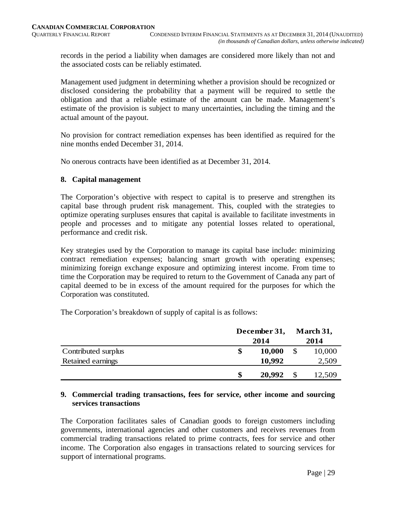records in the period a liability when damages are considered more likely than not and the associated costs can be reliably estimated.

Management used judgment in determining whether a provision should be recognized or disclosed considering the probability that a payment will be required to settle the obligation and that a reliable estimate of the amount can be made. Management's estimate of the provision is subject to many uncertainties, including the timing and the actual amount of the payout.

No provision for contract remediation expenses has been identified as required for the nine months ended December 31, 2014.

No onerous contracts have been identified as at December 31, 2014.

#### **8. Capital management**

The Corporation's objective with respect to capital is to preserve and strengthen its capital base through prudent risk management. This, coupled with the strategies to optimize operating surpluses ensures that capital is available to facilitate investments in people and processes and to mitigate any potential losses related to operational, performance and credit risk.

Key strategies used by the Corporation to manage its capital base include: minimizing contract remediation expenses; balancing smart growth with operating expenses; minimizing foreign exchange exposure and optimizing interest income. From time to time the Corporation may be required to return to the Government of Canada any part of capital deemed to be in excess of the amount required for the purposes for which the Corporation was constituted.

The Corporation's breakdown of supply of capital is as follows:

|                     | December 31, |        |    | March 31, |
|---------------------|--------------|--------|----|-----------|
|                     |              | 2014   |    | 2014      |
| Contributed surplus | \$           | 10,000 | \$ | 10,000    |
| Retained earnings   |              | 10,992 |    | 2,509     |
|                     | \$           | 20,992 |    | 12,509    |

#### **9. Commercial trading transactions, fees for service, other income and sourcing services transactions**

The Corporation facilitates sales of Canadian goods to foreign customers including governments, international agencies and other customers and receives revenues from commercial trading transactions related to prime contracts, fees for service and other income. The Corporation also engages in transactions related to sourcing services for support of international programs.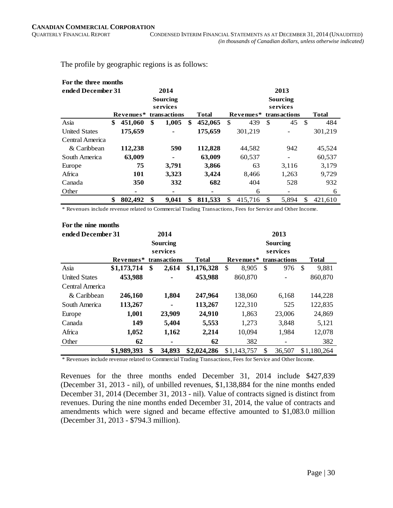The profile by geographic regions is as follows:

|                      | For the three months      |           |    |                |    |         |              |           |     |              |               |              |  |
|----------------------|---------------------------|-----------|----|----------------|----|---------|--------------|-----------|-----|--------------|---------------|--------------|--|
|                      | ended December 31<br>2014 |           |    |                |    |         |              |           |     | 2013         |               |              |  |
|                      |                           |           |    | Sourcing       |    |         | Sourcing     |           |     |              |               |              |  |
|                      |                           |           |    | services       |    |         | services     |           |     |              |               |              |  |
|                      |                           | Revenues* |    | transactions   |    | Total   |              | Revenues* |     | transactions |               | <b>Total</b> |  |
| Asia                 | \$                        | 451,060   | \$ | 1,005          | \$ | 452,065 | \$           | 439       | \$. | 45           | <sup>\$</sup> | 484          |  |
| <b>United States</b> |                           | 175,659   |    |                |    | 175,659 |              | 301,219   |     |              |               | 301,219      |  |
| Central America      |                           |           |    |                |    |         |              |           |     |              |               |              |  |
| & Caribbean          |                           | 112,238   |    | 590            |    | 112,828 |              | 44,582    |     | 942          |               | 45,524       |  |
| South America        |                           | 63,009    |    | $\blacksquare$ |    | 63,009  |              | 60,537    |     |              |               | 60,537       |  |
| Europe               |                           | 75        |    | 3,791          |    | 3,866   |              | 63        |     | 3,116        |               | 3,179        |  |
| Africa               |                           | 101       |    | 3,323          |    | 3,424   |              | 8,466     |     | 1,263        |               | 9,729        |  |
| Canada               |                           | 350       |    | 332            |    | 682     |              | 404       |     | 528          |               | 932          |  |
| Other                |                           | ٠         |    | ٠              |    | ۰       |              | 6         |     |              |               | 6            |  |
|                      | \$                        | 802,492   | \$ | 9,041          | \$ | 811,533 | $\mathbb{S}$ | 415.716   | \$. | 5.894        | \$.           | 421.610      |  |

\* Revenues include revenue related to Commercial Trading Transactions, Fees for Service and Other Income.

| For the nine months  |             |    |                 |              |          |             |    |                 |     |              |  |
|----------------------|-------------|----|-----------------|--------------|----------|-------------|----|-----------------|-----|--------------|--|
| ended December 31    |             |    | 2014            | 2013         |          |             |    |                 |     |              |  |
|                      |             |    | <b>Sourcing</b> |              |          |             |    | <b>Sourcing</b> |     |              |  |
|                      |             |    | services        |              | services |             |    |                 |     |              |  |
|                      | Revenues*   |    | transactions    | <b>Total</b> |          | Revenues*   |    | transactions    |     | <b>Total</b> |  |
| Asia                 | \$1,173,714 | \$ | 2,614           | \$1,176,328  | \$       | 8,905       | \$ | 976             | -\$ | 9,881        |  |
| <b>United States</b> | 453,988     |    |                 | 453,988      |          | 860,870     |    |                 |     | 860,870      |  |
| Central America      |             |    |                 |              |          |             |    |                 |     |              |  |
| & Caribbean          | 246,160     |    | 1,804           | 247,964      |          | 138,060     |    | 6,168           |     | 144,228      |  |
| South America        | 113,267     |    |                 | 113,267      |          | 122,310     |    | 525             |     | 122,835      |  |
| Europe               | 1,001       |    | 23,909          | 24,910       |          | 1,863       |    | 23,006          |     | 24,869       |  |
| Canada               | 149         |    | 5,404           | 5,553        |          | 1,273       |    | 3,848           |     | 5,121        |  |
| Africa               | 1,052       |    | 1,162           | 2,214        |          | 10,094      |    | 1,984           |     | 12,078       |  |
| Other                | 62          |    | ۰               | 62           |          | 382         |    |                 |     | 382          |  |
|                      | \$1,989,393 | \$ | 34,893          | \$2,024,286  |          | \$1,143,757 | \$ | 36,507          |     | \$1,180,264  |  |

\* Revenues include revenue related to Commercial Trading Transactions, Fees for Service and Other Income.

Revenues for the three months ended December 31, 2014 include \$427,839 (December 31, 2013 - nil), of unbilled revenues, \$1,138,884 for the nine months ended December 31, 2014 (December 31, 2013 - nil). Value of contracts signed is distinct from revenues. During the nine months ended December 31, 2014, the value of contracts and amendments which were signed and became effective amounted to \$1,083.0 million (December 31, 2013 - \$794.3 million).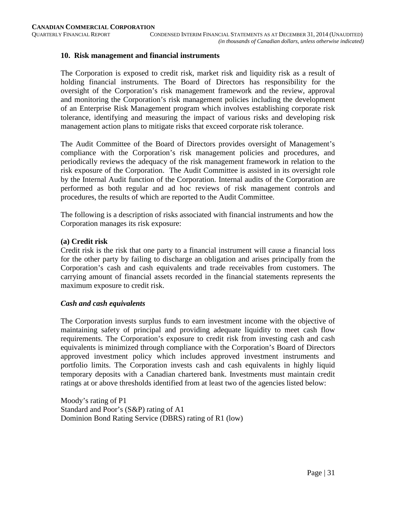#### **10. Risk management and financial instruments**

The Corporation is exposed to credit risk, market risk and liquidity risk as a result of holding financial instruments. The Board of Directors has responsibility for the oversight of the Corporation's risk management framework and the review, approval and monitoring the Corporation's risk management policies including the development of an Enterprise Risk Management program which involves establishing corporate risk tolerance, identifying and measuring the impact of various risks and developing risk management action plans to mitigate risks that exceed corporate risk tolerance.

The Audit Committee of the Board of Directors provides oversight of Management's compliance with the Corporation's risk management policies and procedures, and periodically reviews the adequacy of the risk management framework in relation to the risk exposure of the Corporation. The Audit Committee is assisted in its oversight role by the Internal Audit function of the Corporation. Internal audits of the Corporation are performed as both regular and ad hoc reviews of risk management controls and procedures, the results of which are reported to the Audit Committee.

The following is a description of risks associated with financial instruments and how the Corporation manages its risk exposure:

#### **(a) Credit risk**

Credit risk is the risk that one party to a financial instrument will cause a financial loss for the other party by failing to discharge an obligation and arises principally from the Corporation's cash and cash equivalents and trade receivables from customers. The carrying amount of financial assets recorded in the financial statements represents the maximum exposure to credit risk.

#### *Cash and cash equivalents*

The Corporation invests surplus funds to earn investment income with the objective of maintaining safety of principal and providing adequate liquidity to meet cash flow requirements. The Corporation's exposure to credit risk from investing cash and cash equivalents is minimized through compliance with the Corporation's Board of Directors approved investment policy which includes approved investment instruments and portfolio limits. The Corporation invests cash and cash equivalents in highly liquid temporary deposits with a Canadian chartered bank. Investments must maintain credit ratings at or above thresholds identified from at least two of the agencies listed below:

Moody's rating of P1 Standard and Poor's (S&P) rating of A1 Dominion Bond Rating Service (DBRS) rating of R1 (low)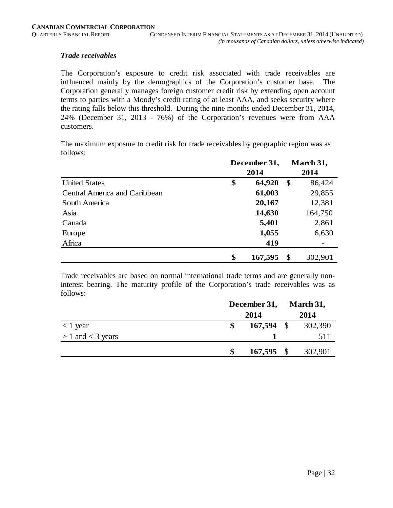#### *Trade receivables*

The Corporation's exposure to credit risk associated with trade receivables are influenced mainly by the demographics of the Corporation's customer base. The Corporation generally manages foreign customer credit risk by extending open account terms to parties with a Moody's credit rating of at least AAA, and seeks security where the rating falls below this threshold. During the nine months ended December 31, 2014, 24% (December 31, 2013 - 76%) of the Corporation's revenues were from AAA customers.

The maximum exposure to credit risk for trade receivables by geographic region was as follows:

|                               | December 31, |         |    | March 31, |
|-------------------------------|--------------|---------|----|-----------|
|                               |              | 2014    |    |           |
| <b>United States</b>          | \$           | 64,920  | \$ | 86,424    |
| Central America and Caribbean |              | 61,003  |    | 29,855    |
| South America                 |              | 20,167  |    | 12,381    |
| Asia                          |              | 14,630  |    | 164,750   |
| Canada                        |              | 5,401   |    | 2,861     |
| Europe                        |              | 1,055   |    | 6,630     |
| Africa                        |              | 419     |    |           |
|                               | \$           | 167,595 | \$ | 302,901   |

Trade receivables are based on normal international trade terms and are generally noninterest bearing. The maturity profile of the Corporation's trade receivables was as follows:

|                       | December 31, |              |      | March 31, |
|-----------------------|--------------|--------------|------|-----------|
|                       |              | 2014         |      | 2014      |
| $< 1$ year            |              | 167,594      | - \$ | 302,390   |
| $> 1$ and $<$ 3 years |              |              |      | 511       |
|                       | \$           | $167,595$ \$ |      | 302,901   |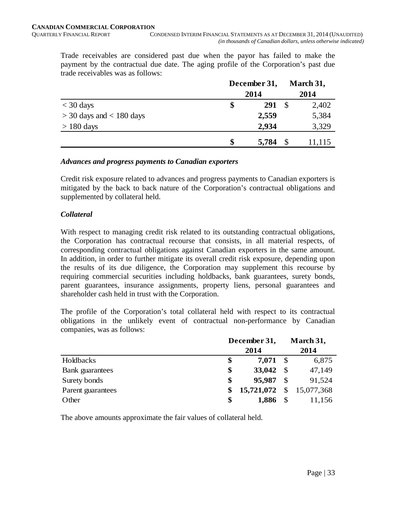Trade receivables are considered past due when the payor has failed to make the payment by the contractual due date. The aging profile of the Corporation's past due trade receivables was as follows:

|                              | December 31, |               | March 31, |  |
|------------------------------|--------------|---------------|-----------|--|
|                              | 2014         |               |           |  |
| $<$ 30 days                  | \$<br>291    | <sup>\$</sup> | 2,402     |  |
| $>$ 30 days and $<$ 180 days | 2,559        |               | 5,384     |  |
| $> 180$ days                 | 2,934        |               | 3,329     |  |
|                              | \$<br>5,784  |               | 11,115    |  |

#### *Advances and progress payments to Canadian exporters*

Credit risk exposure related to advances and progress payments to Canadian exporters is mitigated by the back to back nature of the Corporation's contractual obligations and supplemented by collateral held.

#### *Collateral*

With respect to managing credit risk related to its outstanding contractual obligations, the Corporation has contractual recourse that consists, in all material respects, of corresponding contractual obligations against Canadian exporters in the same amount. In addition, in order to further mitigate its overall credit risk exposure, depending upon the results of its due diligence, the Corporation may supplement this recourse by requiring commercial securities including holdbacks, bank guarantees, surety bonds, parent guarantees, insurance assignments, property liens, personal guarantees and shareholder cash held in trust with the Corporation.

The profile of the Corporation's total collateral held with respect to its contractual obligations in the unlikely event of contractual non-performance by Canadian companies, was as follows:

|                   | December 31, |            |    | March 31,    |
|-------------------|--------------|------------|----|--------------|
|                   |              | 2014       |    | 2014         |
| <b>Holdbacks</b>  | \$           | $7,071$ \$ |    | 6,875        |
| Bank guarantees   | \$           | 33,042     | -S | 47,149       |
| Surety bonds      | \$           | 95,987     | \$ | 91,524       |
| Parent guarantees | \$           | 15,721,072 |    | \$15,077,368 |
| Other             | \$           | 1,886      |    | 11,156       |

The above amounts approximate the fair values of collateral held.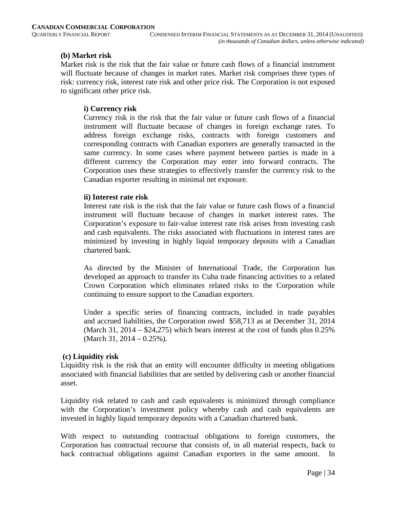#### **(b) Market risk**

Market risk is the risk that the fair value or future cash flows of a financial instrument will fluctuate because of changes in market rates. Market risk comprises three types of risk: currency risk, interest rate risk and other price risk. The Corporation is not exposed to significant other price risk.

# **i) Currency risk**

Currency risk is the risk that the fair value or future cash flows of a financial instrument will fluctuate because of changes in foreign exchange rates. To address foreign exchange risks, contracts with foreign customers and corresponding contracts with Canadian exporters are generally transacted in the same currency. In some cases where payment between parties is made in a different currency the Corporation may enter into forward contracts. The Corporation uses these strategies to effectively transfer the currency risk to the Canadian exporter resulting in minimal net exposure.

#### **ii) Interest rate risk**

Interest rate risk is the risk that the fair value or future cash flows of a financial instrument will fluctuate because of changes in market interest rates. The Corporation's exposure to fair-value interest rate risk arises from investing cash and cash equivalents. The risks associated with fluctuations in interest rates are minimized by investing in highly liquid temporary deposits with a Canadian chartered bank.

As directed by the Minister of International Trade, the Corporation has developed an approach to transfer its Cuba trade financing activities to a related Crown Corporation which eliminates related risks to the Corporation while continuing to ensure support to the Canadian exporters.

Under a specific series of financing contracts, included in trade payables and accrued liabilities, the Corporation owed \$58,713 as at December 31, 2014 (March 31, 2014 –  $$24,275$ ) which bears interest at the cost of funds plus 0.25% (March 31, 2014 – 0.25%).

# **(c) Liquidity risk**

Liquidity risk is the risk that an entity will encounter difficulty in meeting obligations associated with financial liabilities that are settled by delivering cash or another financial asset.

Liquidity risk related to cash and cash equivalents is minimized through compliance with the Corporation's investment policy whereby cash and cash equivalents are invested in highly liquid temporary deposits with a Canadian chartered bank.

With respect to outstanding contractual obligations to foreign customers, the Corporation has contractual recourse that consists of, in all material respects, back to back contractual obligations against Canadian exporters in the same amount.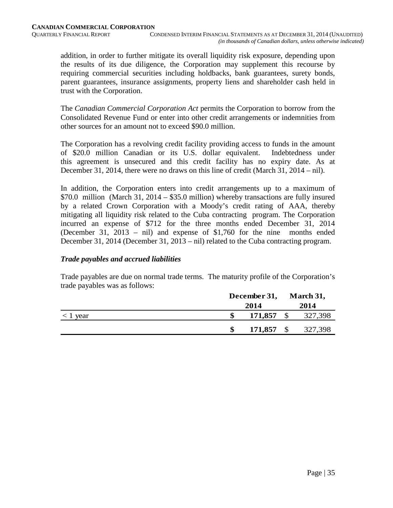addition, in order to further mitigate its overall liquidity risk exposure, depending upon the results of its due diligence, the Corporation may supplement this recourse by requiring commercial securities including holdbacks, bank guarantees, surety bonds, parent guarantees, insurance assignments, property liens and shareholder cash held in trust with the Corporation.

The *Canadian Commercial Corporation Act* permits the Corporation to borrow from the Consolidated Revenue Fund or enter into other credit arrangements or indemnities from other sources for an amount not to exceed \$90.0 million.

The Corporation has a revolving credit facility providing access to funds in the amount of \$20.0 million Canadian or its U.S. dollar equivalent. Indebtedness under this agreement is unsecured and this credit facility has no expiry date. As at December 31, 2014, there were no draws on this line of credit (March 31, 2014 – nil).

In addition, the Corporation enters into credit arrangements up to a maximum of \$70.0 million (March 31, 2014 – \$35.0 million) whereby transactions are fully insured by a related Crown Corporation with a Moody's credit rating of AAA, thereby mitigating all liquidity risk related to the Cuba contracting program. The Corporation incurred an expense of \$712 for the three months ended December 31, 2014 (December 31, 2013 – nil) and expense of \$1,760 for the nine months ended December 31, 2014 (December 31, 2013 – nil) related to the Cuba contracting program.

# *Trade payables and accrued liabilities*

Trade payables are due on normal trade terms. The maturity profile of the Corporation's trade payables was as follows:

|            | December 31, | March 31, |
|------------|--------------|-----------|
|            | 2014         | 2014      |
| $< 1$ year | 171,857      | 327,398   |
|            | 171,857      | 327,398   |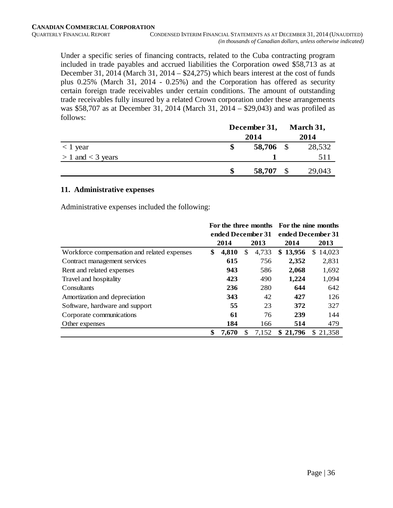Under a specific series of financing contracts, related to the Cuba contracting program included in trade payables and accrued liabilities the Corporation owed \$58,713 as at December 31, 2014 (March 31, 2014 – \$24,275) which bears interest at the cost of funds plus 0.25% (March 31, 2014 - 0.25%) and the Corporation has offered as security certain foreign trade receivables under certain conditions. The amount of outstanding trade receivables fully insured by a related Crown corporation under these arrangements was \$58,707 as at December 31, 2014 (March 31, 2014 – \$29,043) and was profiled as follows:

|                       | December 31, |           |  | March 31, |
|-----------------------|--------------|-----------|--|-----------|
|                       |              | 2014      |  | 2014      |
| $<$ 1 year            |              | 58,706 \$ |  | 28,532    |
| $> 1$ and $<$ 3 years |              |           |  |           |
|                       |              | 58,707    |  | 29,043    |

#### **11. Administrative expenses**

Administrative expenses included the following:

|                                             | For the three months For the nine months |       |    |       |                   |              |  |  |
|---------------------------------------------|------------------------------------------|-------|----|-------|-------------------|--------------|--|--|
|                                             | ended December 31                        |       |    |       | ended December 31 |              |  |  |
|                                             |                                          | 2014  |    | 2013  | 2014              | 2013         |  |  |
| Workforce compensation and related expenses | \$                                       | 4,810 | \$ | 4,733 | \$13,956          | 14,023<br>S  |  |  |
| Contract management services                |                                          | 615   |    | 756   | 2,352             | 2,831        |  |  |
| Rent and related expenses                   |                                          | 943   |    | 586   | 2,068             | 1,692        |  |  |
| Travel and hospitality                      |                                          | 423   |    | 490   | 1,224             | 1,094        |  |  |
| Consultants                                 |                                          | 236   |    | 280   | 644               | 642          |  |  |
| Amortization and depreciation               |                                          | 343   |    | 42    | 427               | 126          |  |  |
| Software, hardware and support              |                                          | 55    |    | 23    | 372               | 327          |  |  |
| Corporate communications                    |                                          | 61    |    | 76    | 239               | 144          |  |  |
| Other expenses                              |                                          | 184   |    | 166   | 514               | 479          |  |  |
|                                             | \$                                       | 7,670 | S  | 7,152 | 21,796<br>\$      | 21.358<br>S. |  |  |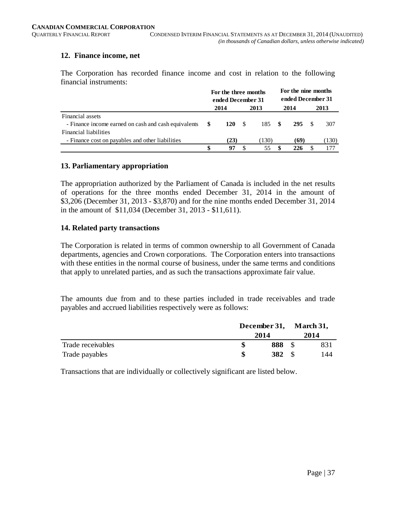#### **12. Finance income, net**

The Corporation has recorded finance income and cost in relation to the following financial instruments:

|                                                      | For the three months<br>ended December 31 |            |     | For the nine months<br>ended December 31 |      |      |  |       |
|------------------------------------------------------|-------------------------------------------|------------|-----|------------------------------------------|------|------|--|-------|
|                                                      |                                           | 2014       |     | 2013                                     |      | 2014 |  | 2013  |
| Financial assets                                     |                                           |            |     |                                          |      |      |  |       |
| - Finance income earned on cash and cash equivalents | -SS                                       | <b>120</b> | - S | 185                                      | - \$ | 295  |  | 307   |
| Financial liabilities                                |                                           |            |     |                                          |      |      |  |       |
| - Finance cost on payables and other liabilities     |                                           | (23)       |     | (130)                                    |      | (69) |  | (130) |
|                                                      | \$.                                       | 97         |     | 55                                       |      | 226  |  |       |

#### **13. Parliamentary appropriation**

The appropriation authorized by the Parliament of Canada is included in the net results of operations for the three months ended December 31, 2014 in the amount of \$3,206 (December 31, 2013 - \$3,870) and for the nine months ended December 31, 2014 in the amount of \$11,034 (December 31, 2013 - \$11,611).

# **14. Related party transactions**

The Corporation is related in terms of common ownership to all Government of Canada departments, agencies and Crown corporations. The Corporation enters into transactions with these entities in the normal course of business, under the same terms and conditions that apply to unrelated parties, and as such the transactions approximate fair value.

The amounts due from and to these parties included in trade receivables and trade payables and accrued liabilities respectively were as follows:

|                   | December 31, March 31, |  | 2014 |
|-------------------|------------------------|--|------|
|                   | 2014                   |  |      |
| Trade receivables | 888                    |  | 831  |
| Trade payables    | 382                    |  | 144  |

Transactions that are individually or collectively significant are listed below.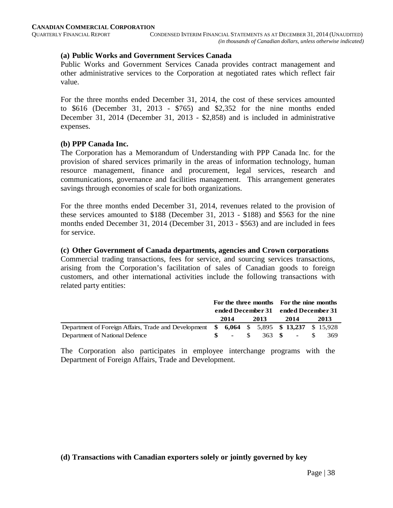#### **(a) Public Works and Government Services Canada**

Public Works and Government Services Canada provides contract management and other administrative services to the Corporation at negotiated rates which reflect fair value.

For the three months ended December 31, 2014, the cost of these services amounted to \$616 (December 31, 2013 - \$765) and \$2,352 for the nine months ended December 31, 2014 (December 31, 2013 - \$2,858) and is included in administrative expenses.

#### **(b) PPP Canada Inc.**

The Corporation has a Memorandum of Understanding with PPP Canada Inc. for the provision of shared services primarily in the areas of information technology, human resource management, finance and procurement, legal services, research and communications, governance and facilities management. This arrangement generates savings through economies of scale for both organizations.

For the three months ended December 31, 2014, revenues related to the provision of these services amounted to \$188 (December 31, 2013 - \$188) and \$563 for the nine months ended December 31, 2014 (December 31, 2013 - \$563) and are included in fees for service.

#### **(c) Other Government of Canada departments, agencies and Crown corporations**

Commercial trading transactions, fees for service, and sourcing services transactions, arising from the Corporation's facilitation of sales of Canadian goods to foreign customers, and other international activities include the following transactions with related party entities:

|                                                                                            | For the three months For the nine months |      |  |      |  |                    |  |      |
|--------------------------------------------------------------------------------------------|------------------------------------------|------|--|------|--|--------------------|--|------|
|                                                                                            | ended December 31 ended December 31      |      |  |      |  |                    |  |      |
|                                                                                            |                                          | 2014 |  | 2013 |  | 2014               |  | 2013 |
| Department of Foreign Affairs, Trade and Development \$ 6,064 \$ 5,895 \$ 13,237 \$ 15,928 |                                          |      |  |      |  |                    |  |      |
| Department of National Defence                                                             |                                          |      |  |      |  | $-$ \$ 363 \$ - \$ |  | 369  |

The Corporation also participates in employee interchange programs with the Department of Foreign Affairs, Trade and Development.

#### **(d) Transactions with Canadian exporters solely or jointly governed by key**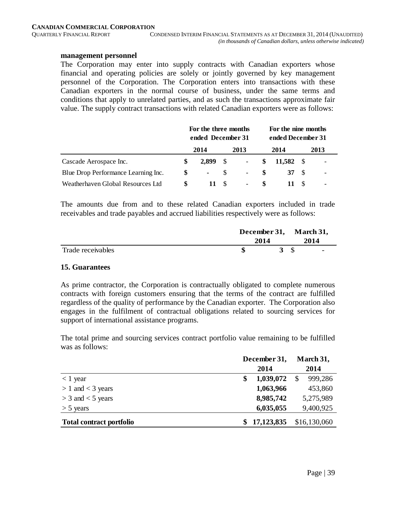#### **management personnel**

The Corporation may enter into supply contracts with Canadian exporters whose financial and operating policies are solely or jointly governed by key management personnel of the Corporation. The Corporation enters into transactions with these Canadian exporters in the normal course of business, under the same terms and conditions that apply to unrelated parties, and as such the transactions approximate fair value. The supply contract transactions with related Canadian exporters were as follows:

|                                     | For the three months<br>ended December 31 |            |      |                          |   | For the nine months<br>ended December 31 |  |                          |
|-------------------------------------|-------------------------------------------|------------|------|--------------------------|---|------------------------------------------|--|--------------------------|
|                                     |                                           | 2014       |      | 2013                     |   | 2014                                     |  | 2013                     |
| Cascade Aerospace Inc.              | S                                         | 2,899      | - \$ | $\overline{\phantom{a}}$ | S | 11.582 \$                                |  | $\overline{\phantom{a}}$ |
| Blue Drop Performance Learning Inc. | S.                                        | $\sim 100$ | -85  | $\overline{\phantom{0}}$ |   | 37 S                                     |  | -                        |
| Weatherhaven Global Resources Ltd   | S                                         | 11         | - S  | $\overline{\phantom{0}}$ |   |                                          |  |                          |

The amounts due from and to these related Canadian exporters included in trade receivables and trade payables and accrued liabilities respectively were as follows:

|                   | 2014 | December 31, March 31, |  |  |  |
|-------------------|------|------------------------|--|--|--|
| Trade receivables | 40   |                        |  |  |  |

#### **15. Guarantees**

As prime contractor, the Corporation is contractually obligated to complete numerous contracts with foreign customers ensuring that the terms of the contract are fulfilled regardless of the quality of performance by the Canadian exporter. The Corporation also engages in the fulfilment of contractual obligations related to sourcing services for support of international assistance programs.

The total prime and sourcing services contract portfolio value remaining to be fulfilled was as follows:

|                                 | December 31,    | March 31,                |
|---------------------------------|-----------------|--------------------------|
|                                 | 2014            | 2014                     |
| $<$ 1 year                      | 1,039,072<br>\$ | 999,286<br><sup>\$</sup> |
| $> 1$ and $<$ 3 years           | 1,063,966       | 453,860                  |
| $>$ 3 and $<$ 5 years           | 8,985,742       | 5,275,989                |
| $>$ 5 years                     | 6,035,055       | 9,400,925                |
| <b>Total contract portfolio</b> | \$17,123,835    | \$16,130,060             |